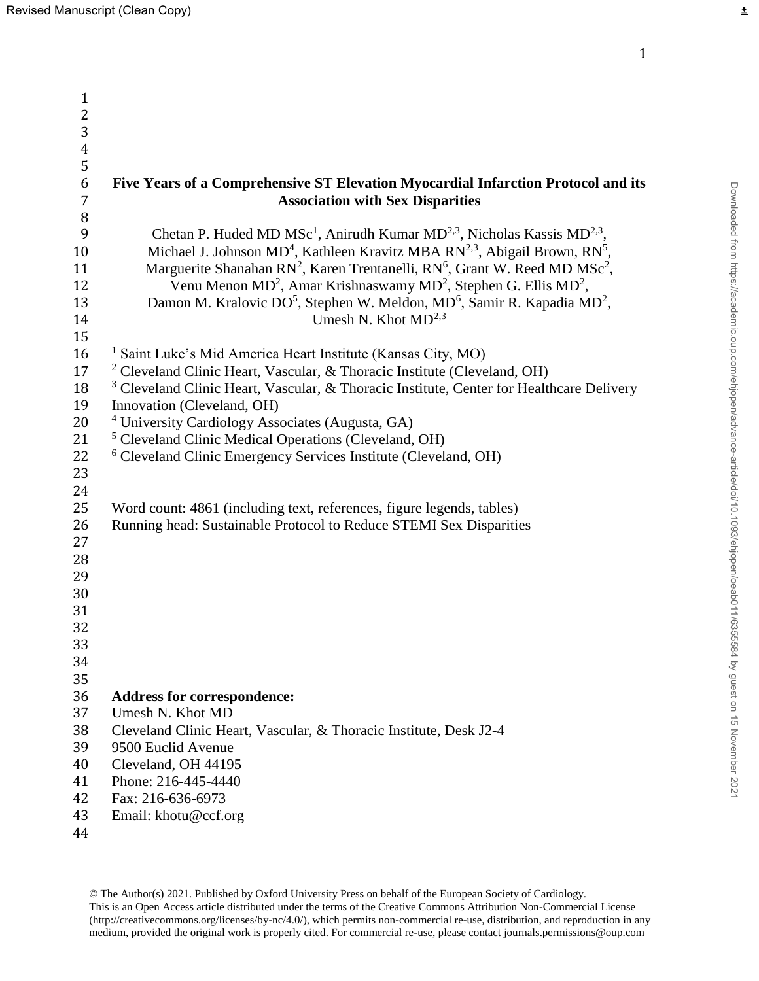| $\mathbf{1}$     |                                                                                                                |
|------------------|----------------------------------------------------------------------------------------------------------------|
| $\overline{c}$   |                                                                                                                |
| 3                |                                                                                                                |
| $\overline{4}$   |                                                                                                                |
| 5                |                                                                                                                |
| $\boldsymbol{6}$ | Five Years of a Comprehensive ST Elevation Myocardial Infarction Protocol and its                              |
| $\overline{7}$   | <b>Association with Sex Disparities</b>                                                                        |
| $\, 8$           |                                                                                                                |
| 9                | Chetan P. Huded MD MSc <sup>1</sup> , Anirudh Kumar MD <sup>2,3</sup> , Nicholas Kassis MD <sup>2,3</sup> ,    |
| 10               | Michael J. Johnson MD <sup>4</sup> , Kathleen Kravitz MBA RN <sup>2,3</sup> , Abigail Brown, RN <sup>5</sup> , |
| 11               | Marguerite Shanahan RN <sup>2</sup> , Karen Trentanelli, RN <sup>6</sup> , Grant W. Reed MD MSc <sup>2</sup> , |
| 12               | Venu Menon MD <sup>2</sup> , Amar Krishnaswamy MD <sup>2</sup> , Stephen G. Ellis MD <sup>2</sup> ,            |
| 13               | Damon M. Kralovic DO <sup>5</sup> , Stephen W. Meldon, MD <sup>6</sup> , Samir R. Kapadia MD <sup>2</sup> ,    |
| 14               | Umesh N. Khot $MD2,3$                                                                                          |
| 15               |                                                                                                                |
| 16               | <sup>1</sup> Saint Luke's Mid America Heart Institute (Kansas City, MO)                                        |
| 17               | <sup>2</sup> Cleveland Clinic Heart, Vascular, & Thoracic Institute (Cleveland, OH)                            |
| 18               | <sup>3</sup> Cleveland Clinic Heart, Vascular, & Thoracic Institute, Center for Healthcare Delivery            |
| 19               | Innovation (Cleveland, OH)                                                                                     |
| 20               | <sup>4</sup> University Cardiology Associates (Augusta, GA)                                                    |
| 21               | <sup>5</sup> Cleveland Clinic Medical Operations (Cleveland, OH)                                               |
| 22               | <sup>6</sup> Cleveland Clinic Emergency Services Institute (Cleveland, OH)                                     |
| 23               |                                                                                                                |
| 24               |                                                                                                                |
| 25               | Word count: 4861 (including text, references, figure legends, tables)                                          |
| 26               | Running head: Sustainable Protocol to Reduce STEMI Sex Disparities                                             |
| 27               |                                                                                                                |
| 28               |                                                                                                                |
| 29               |                                                                                                                |
| 30               |                                                                                                                |
| 31               |                                                                                                                |
| 32               |                                                                                                                |
| 33               |                                                                                                                |
| 34               |                                                                                                                |
| 35               |                                                                                                                |
| 36               | <b>Address for correspondence:</b>                                                                             |
| 37               | Umesh N. Khot MD                                                                                               |
| 38               | Cleveland Clinic Heart, Vascular, & Thoracic Institute, Desk J2-4                                              |
| 39               | 9500 Euclid Avenue                                                                                             |
| 40               | Cleveland, OH 44195                                                                                            |
| 41               | Phone: 216-445-4440                                                                                            |
| 42               | Fax: 216-636-6973                                                                                              |
| 43               | Email: khotu@ccf.org                                                                                           |
| 44               |                                                                                                                |

 $\overline{\underline{\star}}$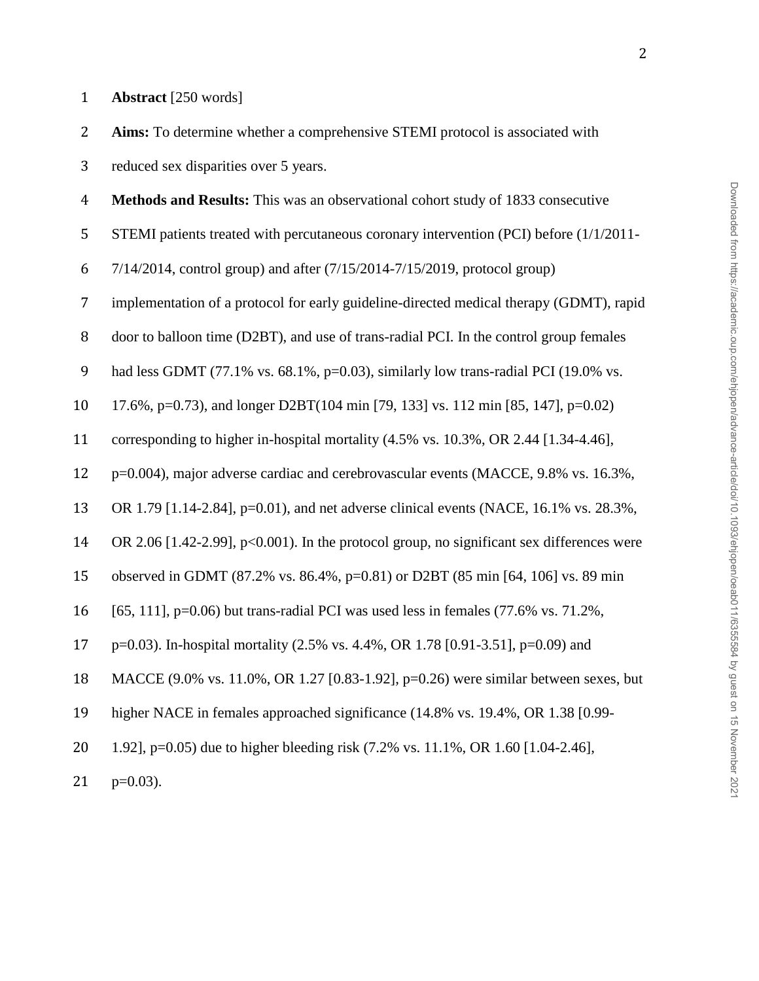**Aims:** To determine whether a comprehensive STEMI protocol is associated with

reduced sex disparities over 5 years.

**Methods and Results:** This was an observational cohort study of 1833 consecutive

STEMI patients treated with percutaneous coronary intervention (PCI) before (1/1/2011-

7/14/2014, control group) and after (7/15/2014-7/15/2019, protocol group)

implementation of a protocol for early guideline-directed medical therapy (GDMT), rapid

door to balloon time (D2BT), and use of trans-radial PCI. In the control group females

9 had less GDMT (77.1% vs. 68.1%, p=0.03), similarly low trans-radial PCI (19.0% vs.

17.6%, p=0.73), and longer D2BT(104 min [79, 133] vs. 112 min [85, 147], p=0.02)

corresponding to higher in-hospital mortality (4.5% vs. 10.3%, OR 2.44 [1.34-4.46],

p=0.004), major adverse cardiac and cerebrovascular events (MACCE, 9.8% vs. 16.3%,

OR 1.79 [1.14-2.84], p=0.01), and net adverse clinical events (NACE, 16.1% vs. 28.3%,

OR 2.06 [1.42-2.99], p<0.001). In the protocol group, no significant sex differences were

observed in GDMT (87.2% vs. 86.4%, p=0.81) or D2BT (85 min [64, 106] vs. 89 min

[65, 111], p=0.06) but trans-radial PCI was used less in females (77.6% vs. 71.2%,

p=0.03). In-hospital mortality (2.5% vs. 4.4%, OR 1.78 [0.91-3.51], p=0.09) and

MACCE (9.0% vs. 11.0%, OR 1.27 [0.83-1.92], p=0.26) were similar between sexes, but

higher NACE in females approached significance (14.8% vs. 19.4%, OR 1.38 [0.99-

1.92], p=0.05) due to higher bleeding risk (7.2% vs. 11.1%, OR 1.60 [1.04-2.46],

21  $p=0.03$ ).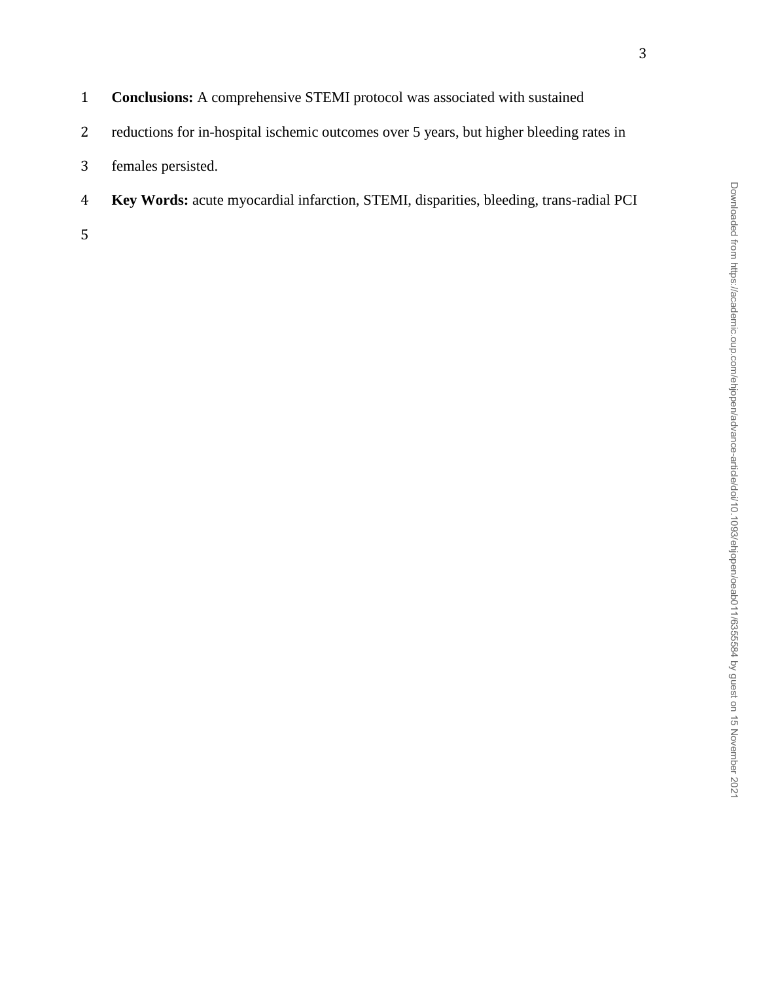| $\mathbf{1}$ | <b>Conclusions:</b> A comprehensive STEMI protocol was associated with sustained              |
|--------------|-----------------------------------------------------------------------------------------------|
| 2            | reductions for in-hospital ischemic outcomes over 5 years, but higher bleeding rates in       |
|              | 3 females persisted.                                                                          |
| 4            | <b>Key Words:</b> acute myocardial infarction, STEMI, disparities, bleeding, trans-radial PCI |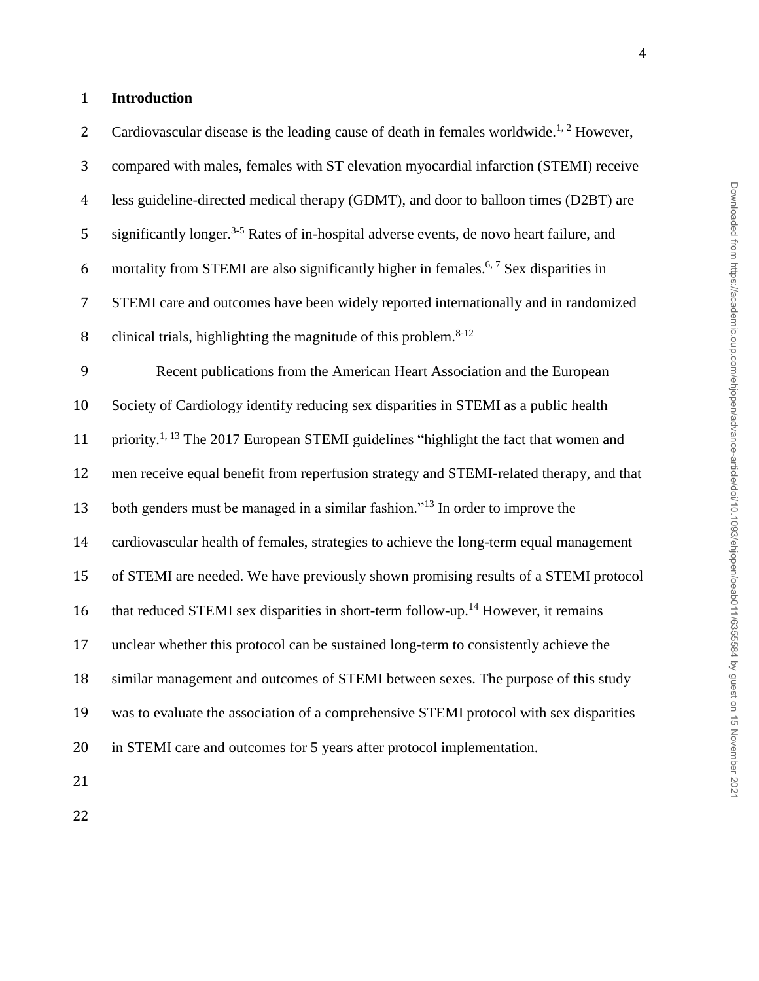## **Introduction**

2 Cardiovascular disease is the leading cause of death in females worldwide.<sup>1, 2</sup> However, compared with males, females with ST elevation myocardial infarction (STEMI) receive less guideline-directed medical therapy (GDMT), and door to balloon times (D2BT) are 5 significantly longer.<sup>3-5</sup> Rates of in-hospital adverse events, de novo heart failure, and 6 mortality from STEMI are also significantly higher in females.<sup>6, 7</sup> Sex disparities in STEMI care and outcomes have been widely reported internationally and in randomized 8 clinical trials, highlighting the magnitude of this problem. $8-12$  Recent publications from the American Heart Association and the European Society of Cardiology identify reducing sex disparities in STEMI as a public health 11 priority.<sup>1, 13</sup> The 2017 European STEMI guidelines "highlight the fact that women and men receive equal benefit from reperfusion strategy and STEMI-related therapy, and that 13 both genders must be managed in a similar fashion."<sup>13</sup> In order to improve the cardiovascular health of females, strategies to achieve the long-term equal management of STEMI are needed. We have previously shown promising results of a STEMI protocol 16 that reduced STEMI sex disparities in short-term follow-up.<sup>14</sup> However, it remains unclear whether this protocol can be sustained long-term to consistently achieve the similar management and outcomes of STEMI between sexes. The purpose of this study was to evaluate the association of a comprehensive STEMI protocol with sex disparities in STEMI care and outcomes for 5 years after protocol implementation.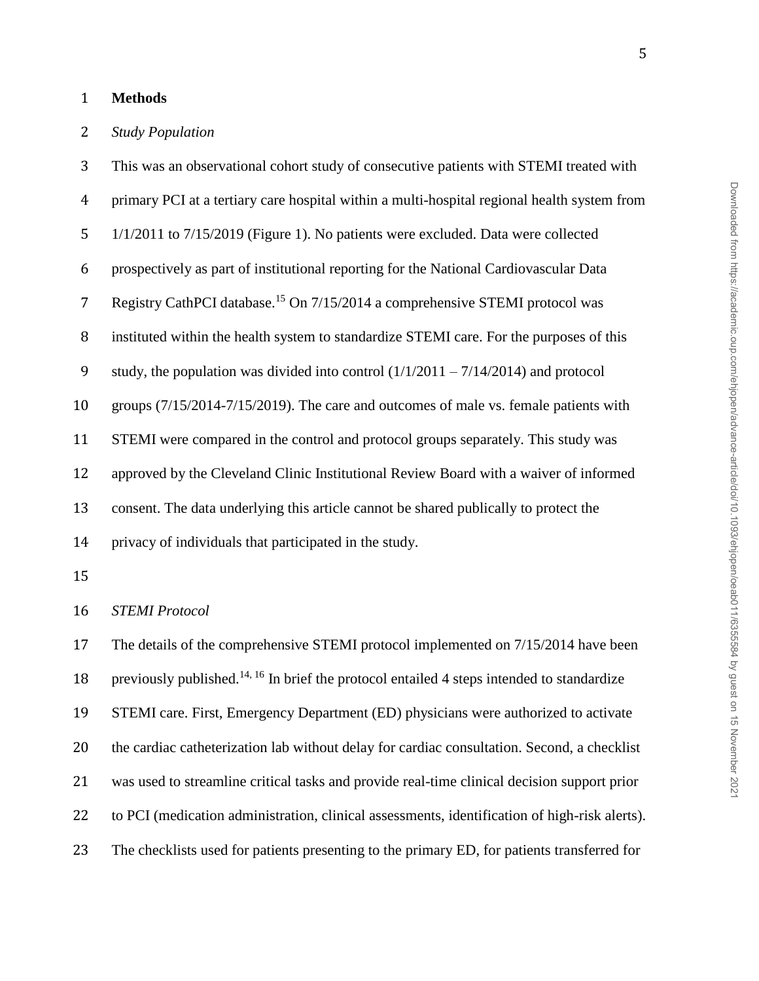## **Methods**

## *Study Population*

 This was an observational cohort study of consecutive patients with STEMI treated with primary PCI at a tertiary care hospital within a multi-hospital regional health system from 1/1/2011 to 7/15/2019 (Figure 1). No patients were excluded. Data were collected prospectively as part of institutional reporting for the National Cardiovascular Data 7 Registry CathPCI database.<sup>15</sup> On 7/15/2014 a comprehensive STEMI protocol was instituted within the health system to standardize STEMI care. For the purposes of this 9 study, the population was divided into control  $(1/1/2011 - 7/14/2014)$  and protocol groups (7/15/2014-7/15/2019). The care and outcomes of male vs. female patients with STEMI were compared in the control and protocol groups separately. This study was approved by the Cleveland Clinic Institutional Review Board with a waiver of informed consent. The data underlying this article cannot be shared publically to protect the privacy of individuals that participated in the study. *STEMI Protocol* The details of the comprehensive STEMI protocol implemented on 7/15/2014 have been 18 previously published.<sup>14, 16</sup> In brief the protocol entailed 4 steps intended to standardize STEMI care. First, Emergency Department (ED) physicians were authorized to activate the cardiac catheterization lab without delay for cardiac consultation. Second, a checklist was used to streamline critical tasks and provide real-time clinical decision support prior to PCI (medication administration, clinical assessments, identification of high-risk alerts). The checklists used for patients presenting to the primary ED, for patients transferred for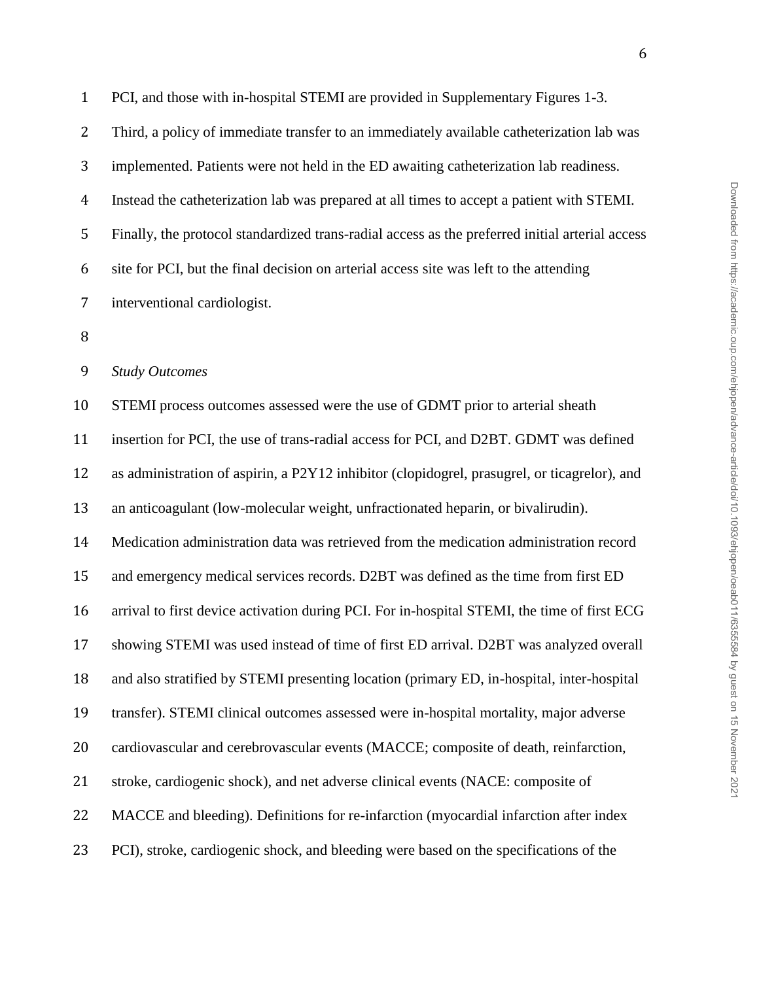| $\mathbf{1}$   | PCI, and those with in-hospital STEMI are provided in Supplementary Figures 1-3.                |
|----------------|-------------------------------------------------------------------------------------------------|
| $\overline{2}$ | Third, a policy of immediate transfer to an immediately available catheterization lab was       |
| 3              | implemented. Patients were not held in the ED awaiting catheterization lab readiness.           |
| $\overline{4}$ | Instead the catheterization lab was prepared at all times to accept a patient with STEMI.       |
| 5              | Finally, the protocol standardized trans-radial access as the preferred initial arterial access |
| 6              | site for PCI, but the final decision on arterial access site was left to the attending          |
| 7              | interventional cardiologist.                                                                    |
| 8              |                                                                                                 |
| 9              | <b>Study Outcomes</b>                                                                           |
| 10             | STEMI process outcomes assessed were the use of GDMT prior to arterial sheath                   |
| 11             | insertion for PCI, the use of trans-radial access for PCI, and D2BT. GDMT was defined           |
| 12             | as administration of aspirin, a P2Y12 inhibitor (clopidogrel, prasugrel, or ticagrelor), and    |
| 13             | an anticoagulant (low-molecular weight, unfractionated heparin, or bivalirudin).                |
| 14             | Medication administration data was retrieved from the medication administration record          |
| 15             | and emergency medical services records. D2BT was defined as the time from first ED              |
| 16             | arrival to first device activation during PCI. For in-hospital STEMI, the time of first ECG     |
| 17             | showing STEMI was used instead of time of first ED arrival. D2BT was analyzed overall           |
| 18             | and also stratified by STEMI presenting location (primary ED, in-hospital, inter-hospital       |
| 19             | transfer). STEMI clinical outcomes assessed were in-hospital mortality, major adverse           |
| 20             | cardiovascular and cerebrovascular events (MACCE; composite of death, reinfarction,             |
| 21             | stroke, cardiogenic shock), and net adverse clinical events (NACE: composite of                 |
| 22             | MACCE and bleeding). Definitions for re-infarction (myocardial infarction after index           |
| 23             | PCI), stroke, cardiogenic shock, and bleeding were based on the specifications of the           |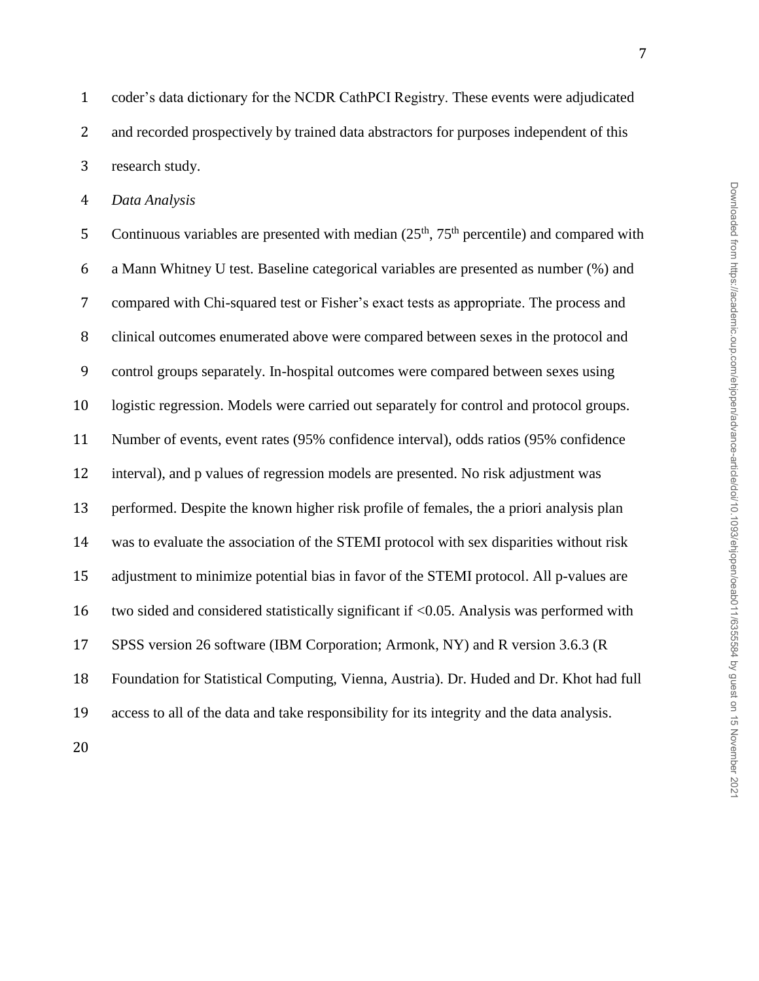coder's data dictionary for the NCDR CathPCI Registry. These events were adjudicated 2 and recorded prospectively by trained data abstractors for purposes independent of this research study.

*Data Analysis*

5 Continuous variables are presented with median  $(25<sup>th</sup>, 75<sup>th</sup>$  percentile) and compared with a Mann Whitney U test. Baseline categorical variables are presented as number (%) and compared with Chi-squared test or Fisher's exact tests as appropriate. The process and clinical outcomes enumerated above were compared between sexes in the protocol and control groups separately. In-hospital outcomes were compared between sexes using logistic regression. Models were carried out separately for control and protocol groups. Number of events, event rates (95% confidence interval), odds ratios (95% confidence interval), and p values of regression models are presented. No risk adjustment was performed. Despite the known higher risk profile of females, the a priori analysis plan was to evaluate the association of the STEMI protocol with sex disparities without risk adjustment to minimize potential bias in favor of the STEMI protocol. All p-values are two sided and considered statistically significant if <0.05. Analysis was performed with SPSS version 26 software (IBM Corporation; Armonk, NY) and R version 3.6.3 (R Foundation for Statistical Computing, Vienna, Austria). Dr. Huded and Dr. Khot had full access to all of the data and take responsibility for its integrity and the data analysis.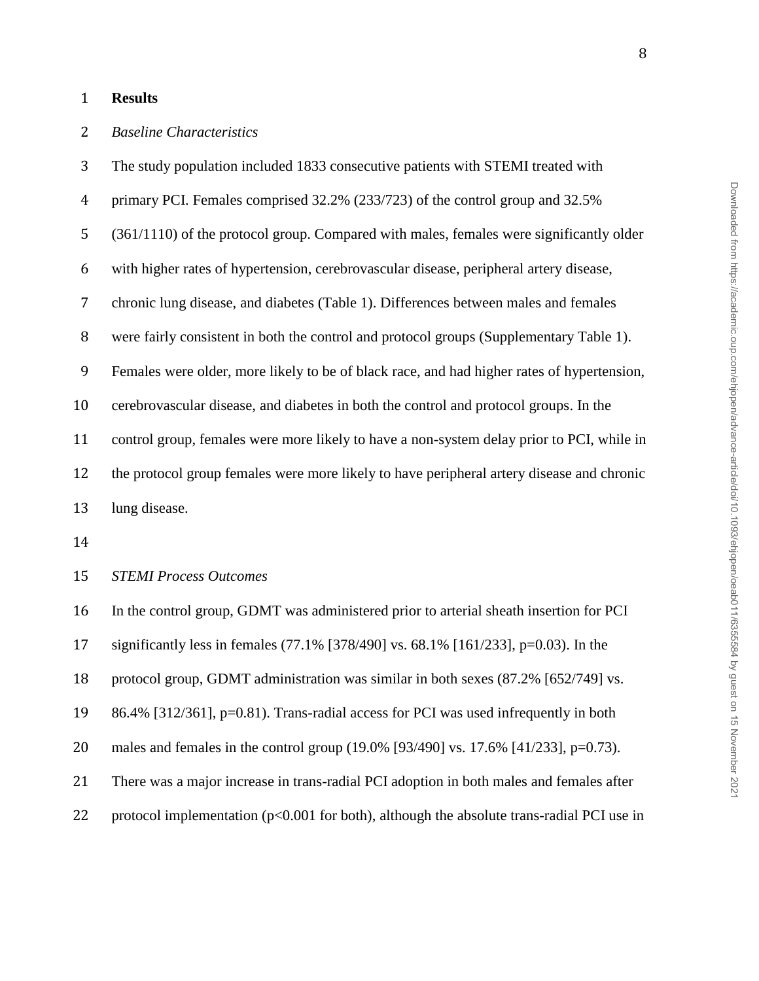### **Results**

## *Baseline Characteristics*

 The study population included 1833 consecutive patients with STEMI treated with primary PCI. Females comprised 32.2% (233/723) of the control group and 32.5% (361/1110) of the protocol group. Compared with males, females were significantly older with higher rates of hypertension, cerebrovascular disease, peripheral artery disease, chronic lung disease, and diabetes (Table 1). Differences between males and females were fairly consistent in both the control and protocol groups (Supplementary Table 1). Females were older, more likely to be of black race, and had higher rates of hypertension, cerebrovascular disease, and diabetes in both the control and protocol groups. In the control group, females were more likely to have a non-system delay prior to PCI, while in the protocol group females were more likely to have peripheral artery disease and chronic lung disease.

#### *STEMI Process Outcomes*

In the control group, GDMT was administered prior to arterial sheath insertion for PCI

significantly less in females (77.1% [378/490] vs. 68.1% [161/233], p=0.03). In the

protocol group, GDMT administration was similar in both sexes (87.2% [652/749] vs.

86.4% [312/361], p=0.81). Trans-radial access for PCI was used infrequently in both

males and females in the control group (19.0% [93/490] vs. 17.6% [41/233], p=0.73).

There was a major increase in trans-radial PCI adoption in both males and females after

22 protocol implementation (p<0.001 for both), although the absolute trans-radial PCI use in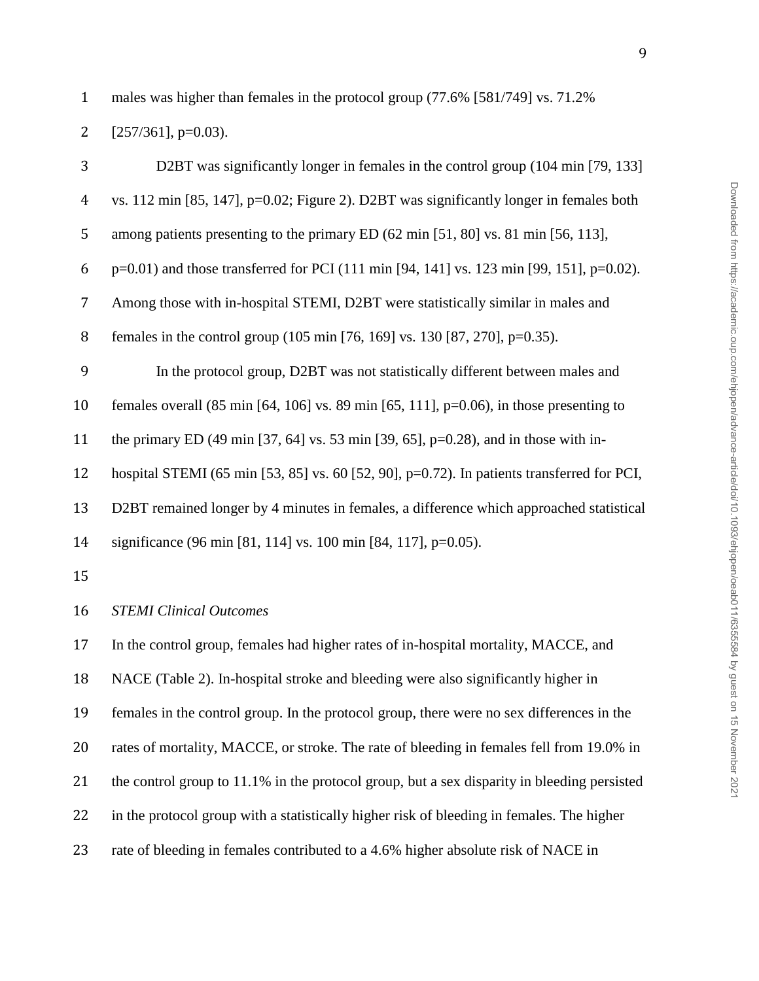males was higher than females in the protocol group (77.6% [581/749] vs. 71.2%

| 2<br>$[257/361]$ , p=0.03). |  |  |  |
|-----------------------------|--|--|--|
|-----------------------------|--|--|--|

| 3              | D2BT was significantly longer in females in the control group (104 min [79, 133]                                      |
|----------------|-----------------------------------------------------------------------------------------------------------------------|
| $\overline{4}$ | vs. 112 min [85, 147], $p=0.02$ ; Figure 2). D2BT was significantly longer in females both                            |
| 5              | among patients presenting to the primary ED (62 min [51, 80] vs. 81 min [56, 113],                                    |
| 6              | p=0.01) and those transferred for PCI (111 min [94, 141] vs. 123 min [99, 151], p=0.02).                              |
| $\overline{7}$ | Among those with in-hospital STEMI, D2BT were statistically similar in males and                                      |
| 8              | females in the control group (105 min [76, 169] vs. 130 [87, 270], p=0.35).                                           |
| 9              | In the protocol group, D2BT was not statistically different between males and                                         |
| 10             | females overall $(85 \text{ min } [64, 106] \text{ vs. } 89 \text{ min } [65, 111], p=0.06)$ , in those presenting to |
| 11             | the primary ED (49 min [37, 64] vs. 53 min [39, 65], $p=0.28$ ), and in those with in-                                |
| 12             | hospital STEMI (65 min [53, 85] vs. 60 [52, 90], $p=0.72$ ). In patients transferred for PCI,                         |
| 13             | D2BT remained longer by 4 minutes in females, a difference which approached statistical                               |
| 14             | significance (96 min [81, 114] vs. 100 min [84, 117], p=0.05).                                                        |
| 15             |                                                                                                                       |
| 16             | <b>STEMI Clinical Outcomes</b>                                                                                        |
| 17             | In the control group, females had higher rates of in-hospital mortality, MACCE, and                                   |
| 18             | NACE (Table 2). In-hospital stroke and bleeding were also significantly higher in                                     |
| 19             | females in the control group. In the protocol group, there were no sex differences in the                             |
| 20             | rates of mortality, MACCE, or stroke. The rate of bleeding in females fell from 19.0% in                              |
| 21             | the control group to 11.1% in the protocol group, but a sex disparity in bleeding persisted                           |
| 22             | in the protocol group with a statistically higher risk of bleeding in females. The higher                             |
| 23             | rate of bleeding in females contributed to a 4.6% higher absolute risk of NACE in                                     |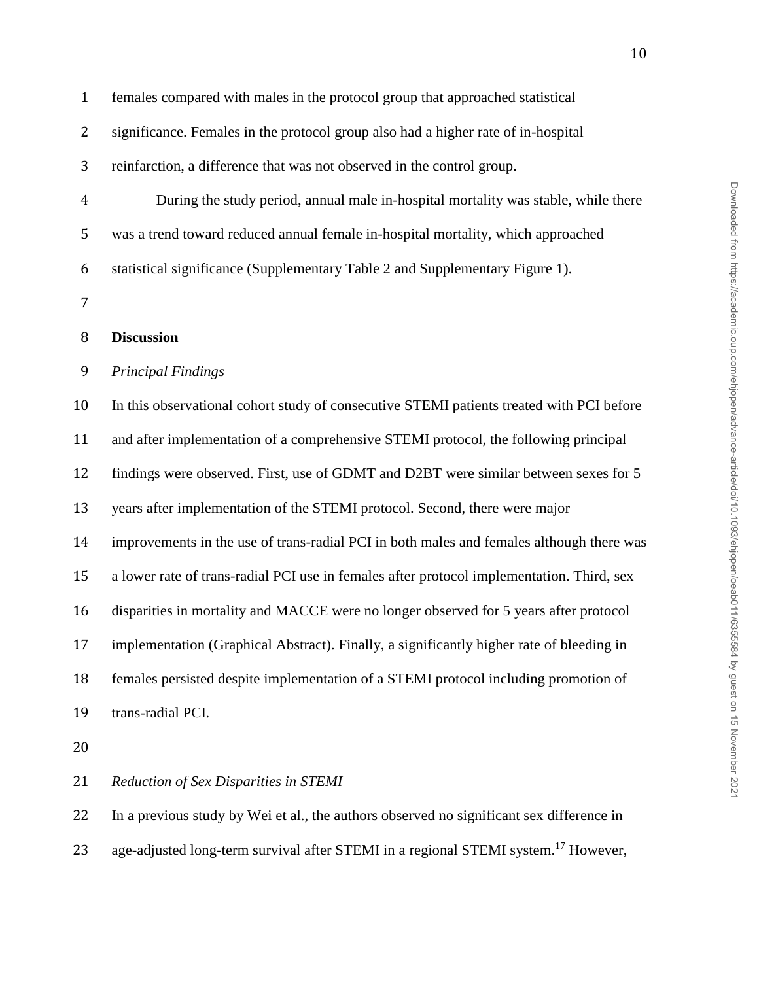| $\mathbf{1}$ | females compared with males in the protocol group that approached statistical             |
|--------------|-------------------------------------------------------------------------------------------|
| 2            | significance. Females in the protocol group also had a higher rate of in-hospital         |
| 3            | reinfarction, a difference that was not observed in the control group.                    |
| 4            | During the study period, annual male in-hospital mortality was stable, while there        |
| 5            | was a trend toward reduced annual female in-hospital mortality, which approached          |
| 6            | statistical significance (Supplementary Table 2 and Supplementary Figure 1).              |
| 7            |                                                                                           |
| 8            | <b>Discussion</b>                                                                         |
| 9            | <b>Principal Findings</b>                                                                 |
| 10           | In this observational cohort study of consecutive STEMI patients treated with PCI before  |
| 11           | and after implementation of a comprehensive STEMI protocol, the following principal       |
| 12           | findings were observed. First, use of GDMT and D2BT were similar between sexes for 5      |
| 13           | years after implementation of the STEMI protocol. Second, there were major                |
| 14           | improvements in the use of trans-radial PCI in both males and females although there was  |
| 15           | a lower rate of trans-radial PCI use in females after protocol implementation. Third, sex |
| 16           | disparities in mortality and MACCE were no longer observed for 5 years after protocol     |
| 17           | implementation (Graphical Abstract). Finally, a significantly higher rate of bleeding in  |
| 18           | females persisted despite implementation of a STEMI protocol including promotion of       |
| 19           | trans-radial PCI.                                                                         |
| 20           |                                                                                           |
| 21           | Reduction of Sex Disparities in STEMI                                                     |

In a previous study by Wei et al., the authors observed no significant sex difference in

23 age-adjusted long-term survival after STEMI in a regional STEMI system.<sup>17</sup> However,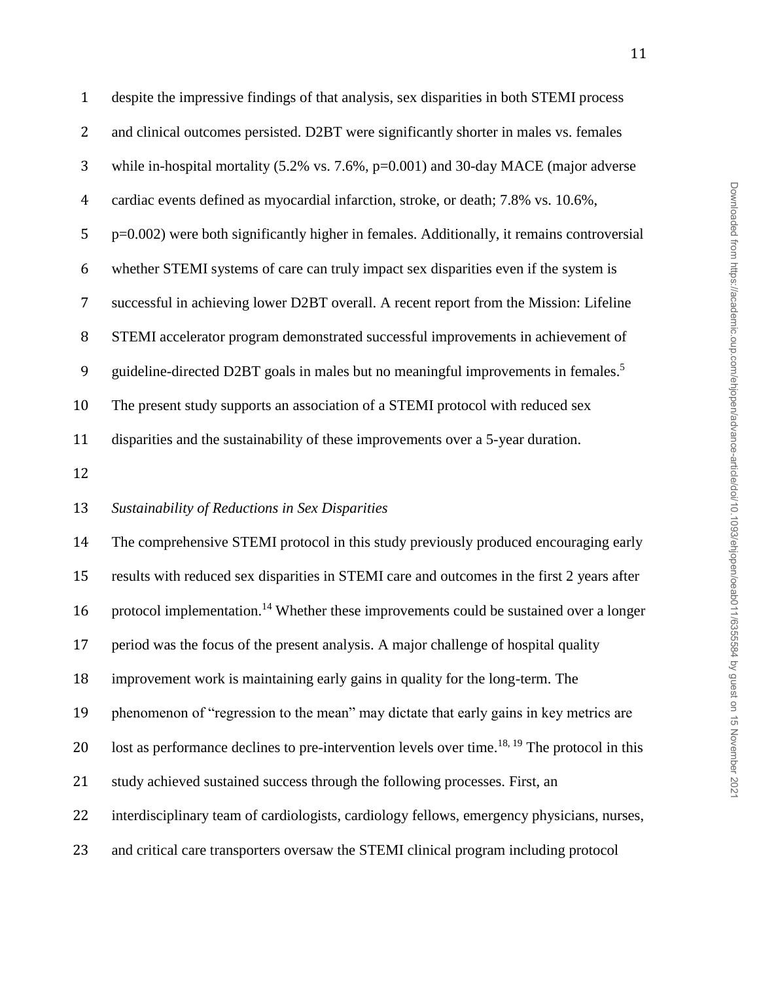| $\mathbf{1}$   | despite the impressive findings of that analysis, sex disparities in both STEMI process                   |
|----------------|-----------------------------------------------------------------------------------------------------------|
| $\overline{2}$ | and clinical outcomes persisted. D2BT were significantly shorter in males vs. females                     |
| 3              | while in-hospital mortality $(5.2\% \text{ vs. } 7.6\%, \text{p=0.001})$ and 30-day MACE (major adverse   |
| $\overline{4}$ | cardiac events defined as myocardial infarction, stroke, or death; 7.8% vs. 10.6%,                        |
| 5              | p=0.002) were both significantly higher in females. Additionally, it remains controversial                |
| 6              | whether STEMI systems of care can truly impact sex disparities even if the system is                      |
| $\overline{7}$ | successful in achieving lower D2BT overall. A recent report from the Mission: Lifeline                    |
| $\, 8$         | STEMI accelerator program demonstrated successful improvements in achievement of                          |
| 9              | guideline-directed D2BT goals in males but no meaningful improvements in females. <sup>5</sup>            |
| 10             | The present study supports an association of a STEMI protocol with reduced sex                            |
| 11             | disparities and the sustainability of these improvements over a 5-year duration.                          |
| 12             |                                                                                                           |
| 13             | Sustainability of Reductions in Sex Disparities                                                           |
| 14             | The comprehensive STEMI protocol in this study previously produced encouraging early                      |
| 15             | results with reduced sex disparities in STEMI care and outcomes in the first 2 years after                |
| 16             | protocol implementation. <sup>14</sup> Whether these improvements could be sustained over a longer        |
| 17             | period was the focus of the present analysis. A major challenge of hospital quality                       |
| 18             | improvement work is maintaining early gains in quality for the long-term. The                             |
| 19             | phenomenon of "regression to the mean" may dictate that early gains in key metrics are                    |
| 20             | lost as performance declines to pre-intervention levels over time. <sup>18, 19</sup> The protocol in this |
| 21             | study achieved sustained success through the following processes. First, an                               |
| 22             | interdisciplinary team of cardiologists, cardiology fellows, emergency physicians, nurses,                |
| 23             | and critical care transporters oversaw the STEMI clinical program including protocol                      |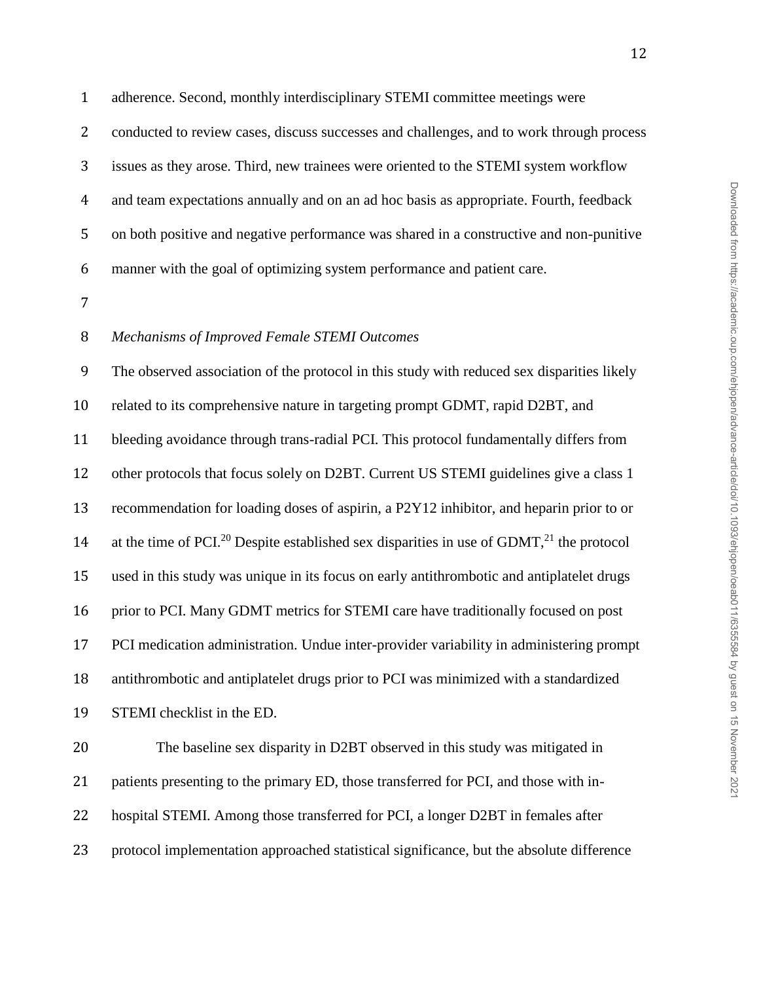adherence. Second, monthly interdisciplinary STEMI committee meetings were 2 conducted to review cases, discuss successes and challenges, and to work through process issues as they arose. Third, new trainees were oriented to the STEMI system workflow and team expectations annually and on an ad hoc basis as appropriate. Fourth, feedback on both positive and negative performance was shared in a constructive and non-punitive manner with the goal of optimizing system performance and patient care.

### *Mechanisms of Improved Female STEMI Outcomes*

 The observed association of the protocol in this study with reduced sex disparities likely related to its comprehensive nature in targeting prompt GDMT, rapid D2BT, and bleeding avoidance through trans-radial PCI. This protocol fundamentally differs from other protocols that focus solely on D2BT. Current US STEMI guidelines give a class 1 recommendation for loading doses of aspirin, a P2Y12 inhibitor, and heparin prior to or 14 at the time of PCI.<sup>20</sup> Despite established sex disparities in use of GDMT,<sup>21</sup> the protocol used in this study was unique in its focus on early antithrombotic and antiplatelet drugs prior to PCI. Many GDMT metrics for STEMI care have traditionally focused on post PCI medication administration. Undue inter-provider variability in administering prompt antithrombotic and antiplatelet drugs prior to PCI was minimized with a standardized STEMI checklist in the ED.

 The baseline sex disparity in D2BT observed in this study was mitigated in 21 patients presenting to the primary ED, those transferred for PCI, and those with in- hospital STEMI. Among those transferred for PCI, a longer D2BT in females after protocol implementation approached statistical significance, but the absolute difference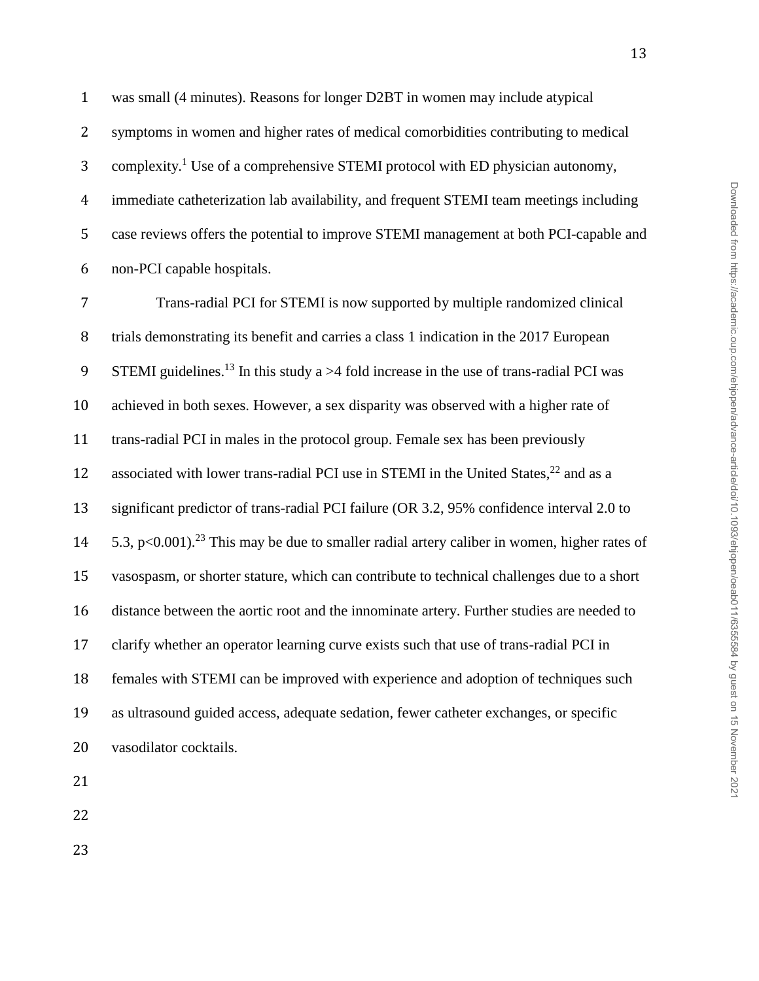was small (4 minutes). Reasons for longer D2BT in women may include atypical symptoms in women and higher rates of medical comorbidities contributing to medical 3 complexity.<sup>1</sup> Use of a comprehensive STEMI protocol with ED physician autonomy, immediate catheterization lab availability, and frequent STEMI team meetings including case reviews offers the potential to improve STEMI management at both PCI-capable and non-PCI capable hospitals.

 Trans-radial PCI for STEMI is now supported by multiple randomized clinical trials demonstrating its benefit and carries a class 1 indication in the 2017 European 9 STEMI guidelines.<sup>13</sup> In this study a  $>4$  fold increase in the use of trans-radial PCI was achieved in both sexes. However, a sex disparity was observed with a higher rate of trans-radial PCI in males in the protocol group. Female sex has been previously 12 associated with lower trans-radial PCI use in STEMI in the United States,  $^{22}$  and as a significant predictor of trans-radial PCI failure (OR 3.2, 95% confidence interval 2.0 to  $5.3$ , p<0.001).<sup>23</sup> This may be due to smaller radial artery caliber in women, higher rates of vasospasm, or shorter stature, which can contribute to technical challenges due to a short distance between the aortic root and the innominate artery. Further studies are needed to clarify whether an operator learning curve exists such that use of trans-radial PCI in females with STEMI can be improved with experience and adoption of techniques such as ultrasound guided access, adequate sedation, fewer catheter exchanges, or specific vasodilator cocktails.

- 
-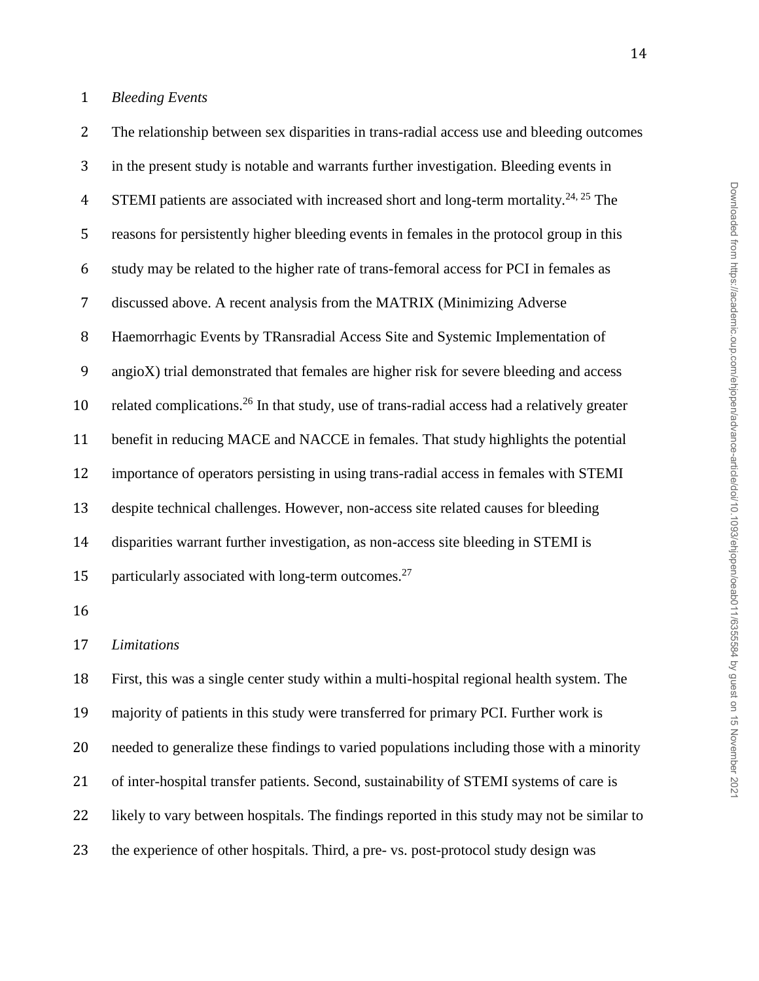The relationship between sex disparities in trans-radial access use and bleeding outcomes in the present study is notable and warrants further investigation. Bleeding events in 4 STEMI patients are associated with increased short and long-term mortality.<sup>24, 25</sup> The reasons for persistently higher bleeding events in females in the protocol group in this study may be related to the higher rate of trans-femoral access for PCI in females as discussed above. A recent analysis from the MATRIX (Minimizing Adverse Haemorrhagic Events by TRansradial Access Site and Systemic Implementation of angioX) trial demonstrated that females are higher risk for severe bleeding and access 10 related complications.<sup>26</sup> In that study, use of trans-radial access had a relatively greater benefit in reducing MACE and NACCE in females. That study highlights the potential importance of operators persisting in using trans-radial access in females with STEMI despite technical challenges. However, non-access site related causes for bleeding disparities warrant further investigation, as non-access site bleeding in STEMI is 15 particularly associated with long-term outcomes.<sup>27</sup> *Limitations* First, this was a single center study within a multi-hospital regional health system. The majority of patients in this study were transferred for primary PCI. Further work is needed to generalize these findings to varied populations including those with a minority of inter-hospital transfer patients. Second, sustainability of STEMI systems of care is likely to vary between hospitals. The findings reported in this study may not be similar to the experience of other hospitals. Third, a pre- vs. post-protocol study design was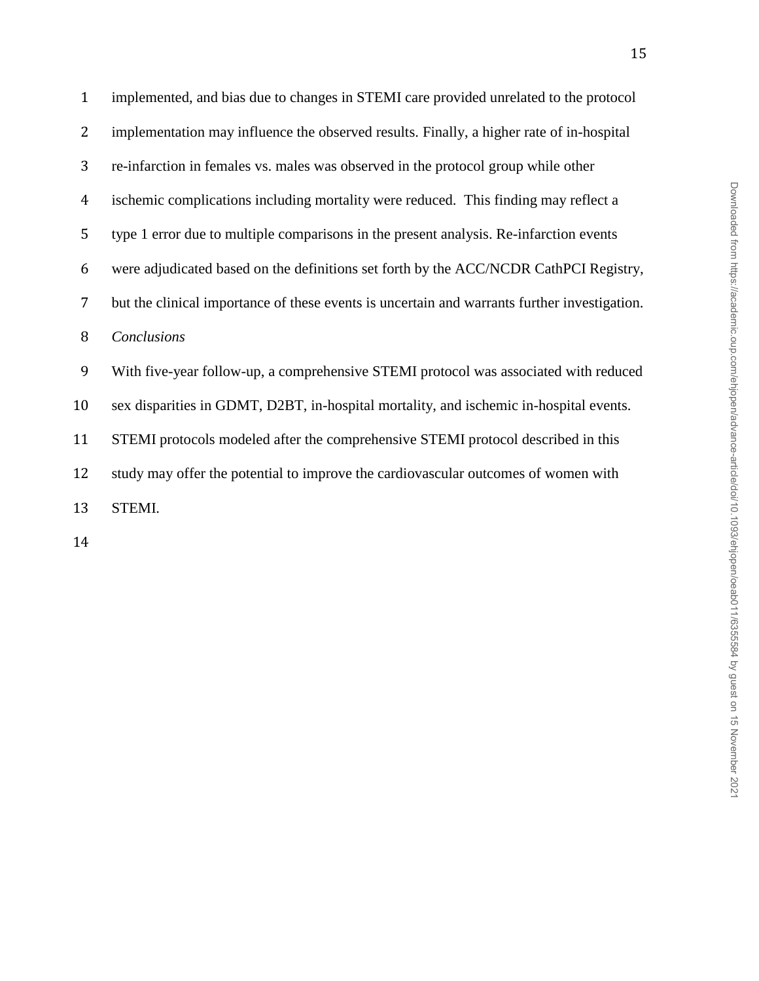| $\mathbf{1}$   | implemented, and bias due to changes in STEMI care provided unrelated to the protocol        |
|----------------|----------------------------------------------------------------------------------------------|
| $\overline{2}$ | implementation may influence the observed results. Finally, a higher rate of in-hospital     |
| 3              | re-infarction in females vs. males was observed in the protocol group while other            |
| $\overline{4}$ | ischemic complications including mortality were reduced. This finding may reflect a          |
| 5              | type 1 error due to multiple comparisons in the present analysis. Re-infarction events       |
| 6              | were adjudicated based on the definitions set forth by the ACC/NCDR CathPCI Registry,        |
| $\overline{7}$ | but the clinical importance of these events is uncertain and warrants further investigation. |
| 8              | Conclusions                                                                                  |
| 9              | With five-year follow-up, a comprehensive STEMI protocol was associated with reduced         |
|                |                                                                                              |
| 10             | sex disparities in GDMT, D2BT, in-hospital mortality, and ischemic in-hospital events.       |
| 11             | STEMI protocols modeled after the comprehensive STEMI protocol described in this             |
| 12             | study may offer the potential to improve the cardiovascular outcomes of women with           |
| 13             | STEMI.                                                                                       |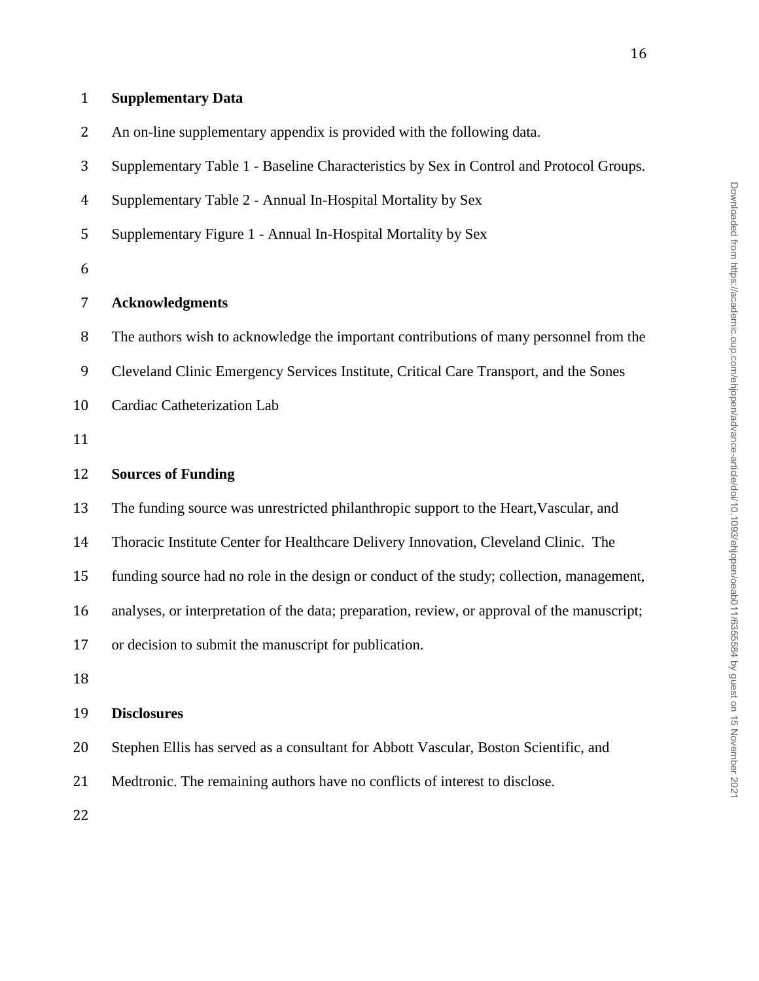| $\overline{2}$ | An on-line supplementary appendix is provided with the following data.                       |
|----------------|----------------------------------------------------------------------------------------------|
| 3              | Supplementary Table 1 - Baseline Characteristics by Sex in Control and Protocol Groups.      |
| $\overline{4}$ | Supplementary Table 2 - Annual In-Hospital Mortality by Sex                                  |
| 5              | Supplementary Figure 1 - Annual In-Hospital Mortality by Sex                                 |
| 6              |                                                                                              |
| $\overline{7}$ | <b>Acknowledgments</b>                                                                       |
| 8              | The authors wish to acknowledge the important contributions of many personnel from the       |
| 9              | Cleveland Clinic Emergency Services Institute, Critical Care Transport, and the Sones        |
| 10             | Cardiac Catheterization Lab                                                                  |
| 11             |                                                                                              |
| 12             | <b>Sources of Funding</b>                                                                    |
| 13             | The funding source was unrestricted philanthropic support to the Heart, Vascular, and        |
| 14             | Thoracic Institute Center for Healthcare Delivery Innovation, Cleveland Clinic. The          |
| 15             | funding source had no role in the design or conduct of the study; collection, management,    |
| 16             | analyses, or interpretation of the data; preparation, review, or approval of the manuscript; |
| 17             | or decision to submit the manuscript for publication.                                        |
| 18             |                                                                                              |
| 19             | <b>Disclosures</b>                                                                           |
| 20             | Stephen Ellis has served as a consultant for Abbott Vascular, Boston Scientific, and         |

- Medtronic. The remaining authors have no conflicts of interest to disclose.
- 

**Supplementary Data**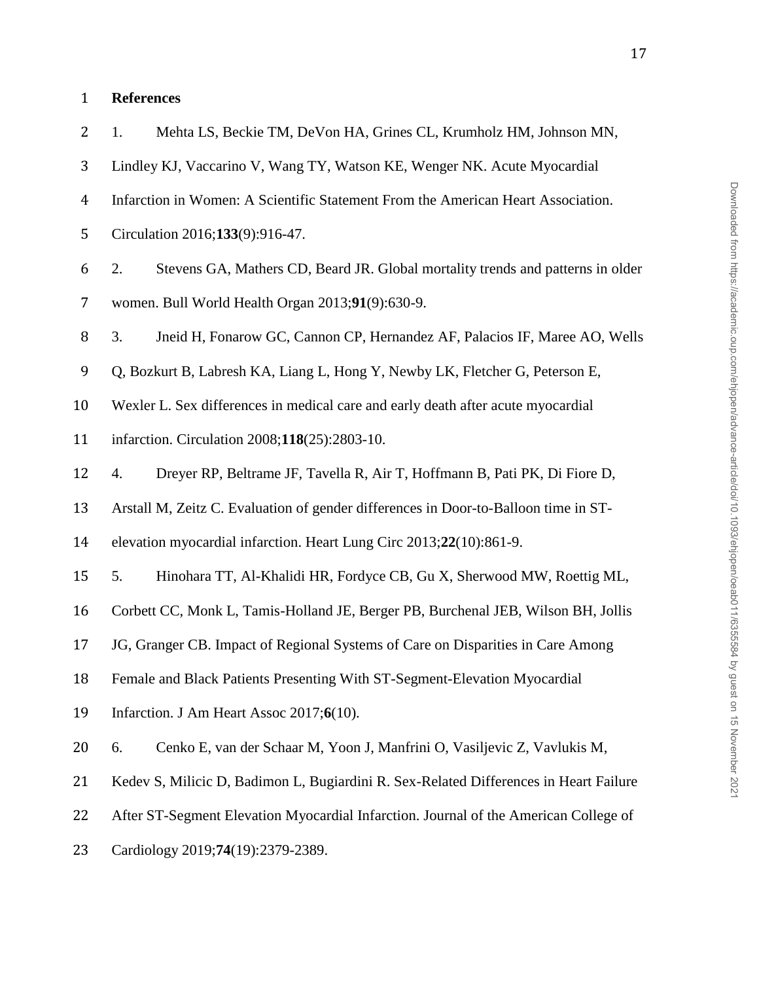# **References**

| 2              | Mehta LS, Beckie TM, DeVon HA, Grines CL, Krumholz HM, Johnson MN,<br>1.              |
|----------------|---------------------------------------------------------------------------------------|
| 3              | Lindley KJ, Vaccarino V, Wang TY, Watson KE, Wenger NK. Acute Myocardial              |
| $\overline{4}$ | Infarction in Women: A Scientific Statement From the American Heart Association.      |
| 5              | Circulation 2016;133(9):916-47.                                                       |
| 6              | Stevens GA, Mathers CD, Beard JR. Global mortality trends and patterns in older<br>2. |
| 7              | women. Bull World Health Organ 2013;91(9):630-9.                                      |
| 8              | 3.<br>Jneid H, Fonarow GC, Cannon CP, Hernandez AF, Palacios IF, Maree AO, Wells      |
| 9              | Q, Bozkurt B, Labresh KA, Liang L, Hong Y, Newby LK, Fletcher G, Peterson E,          |
| 10             | Wexler L. Sex differences in medical care and early death after acute myocardial      |
| 11             | infarction. Circulation 2008;118(25):2803-10.                                         |
| 12             | Dreyer RP, Beltrame JF, Tavella R, Air T, Hoffmann B, Pati PK, Di Fiore D,<br>4.      |
| 13             | Arstall M, Zeitz C. Evaluation of gender differences in Door-to-Balloon time in ST-   |
| 14             | elevation myocardial infarction. Heart Lung Circ 2013;22(10):861-9.                   |
| 15             | 5.<br>Hinohara TT, Al-Khalidi HR, Fordyce CB, Gu X, Sherwood MW, Roettig ML,          |
| 16             | Corbett CC, Monk L, Tamis-Holland JE, Berger PB, Burchenal JEB, Wilson BH, Jollis     |
| 17             | JG, Granger CB. Impact of Regional Systems of Care on Disparities in Care Among       |
| 18             | Female and Black Patients Presenting With ST-Segment-Elevation Myocardial             |
| 19             | Infarction. J Am Heart Assoc 2017;6(10).                                              |
| 20             | Cenko E, van der Schaar M, Yoon J, Manfrini O, Vasiljevic Z, Vavlukis M,<br>6.        |
| 21             | Kedev S, Milicic D, Badimon L, Bugiardini R. Sex-Related Differences in Heart Failure |
| 22             | After ST-Segment Elevation Myocardial Infarction. Journal of the American College of  |
| 23             | Cardiology 2019;74(19):2379-2389.                                                     |
|                |                                                                                       |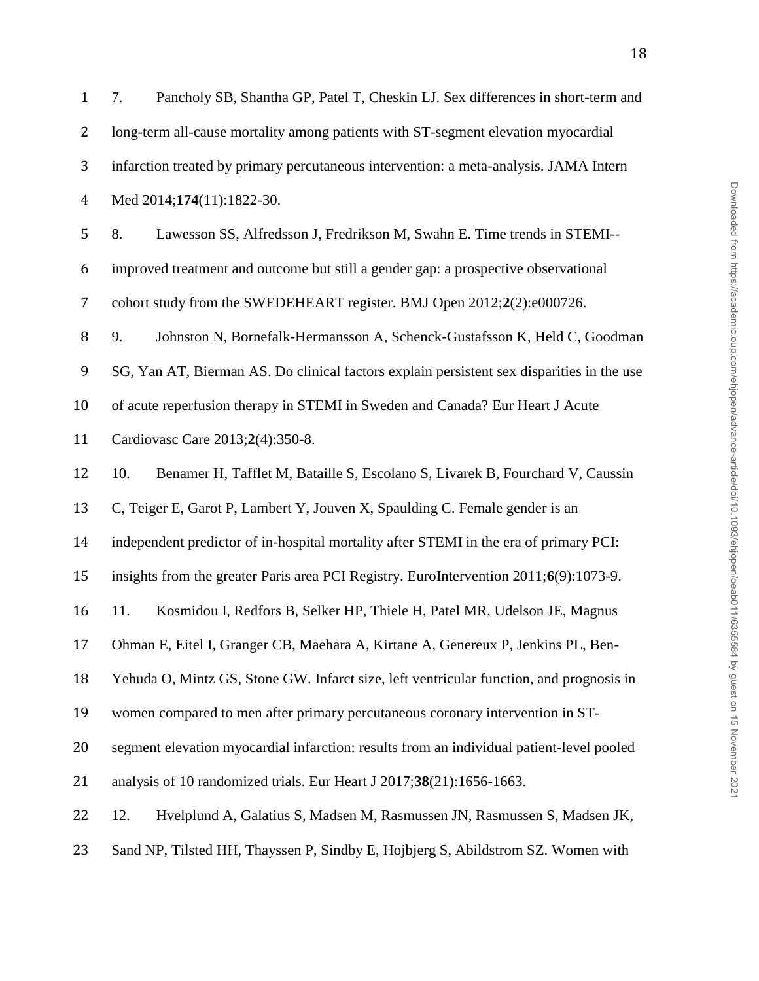| $\mathbf{1}$   | Pancholy SB, Shantha GP, Patel T, Cheskin LJ. Sex differences in short-term and<br>7.     |
|----------------|-------------------------------------------------------------------------------------------|
| $\overline{2}$ | long-term all-cause mortality among patients with ST-segment elevation myocardial         |
| 3              | infarction treated by primary percutaneous intervention: a meta-analysis. JAMA Intern     |
| $\overline{4}$ | Med 2014;174(11):1822-30.                                                                 |
| 5              | 8.<br>Lawesson SS, Alfredsson J, Fredrikson M, Swahn E. Time trends in STEMI--            |
| 6              | improved treatment and outcome but still a gender gap: a prospective observational        |
| $\overline{7}$ | cohort study from the SWEDEHEART register. BMJ Open 2012;2(2):e000726.                    |
| 8              | 9.<br>Johnston N, Bornefalk-Hermansson A, Schenck-Gustafsson K, Held C, Goodman           |
| 9              | SG, Yan AT, Bierman AS. Do clinical factors explain persistent sex disparities in the use |
| 10             | of acute reperfusion therapy in STEMI in Sweden and Canada? Eur Heart J Acute             |
| 11             | Cardiovasc Care 2013;2(4):350-8.                                                          |
| 12             | 10.<br>Benamer H, Tafflet M, Bataille S, Escolano S, Livarek B, Fourchard V, Caussin      |
| 13             | C, Teiger E, Garot P, Lambert Y, Jouven X, Spaulding C. Female gender is an               |
| 14             | independent predictor of in-hospital mortality after STEMI in the era of primary PCI:     |
| 15             | insights from the greater Paris area PCI Registry. EuroIntervention 2011;6(9):1073-9.     |
| 16             | 11.<br>Kosmidou I, Redfors B, Selker HP, Thiele H, Patel MR, Udelson JE, Magnus           |
| 17             | Ohman E, Eitel I, Granger CB, Maehara A, Kirtane A, Genereux P, Jenkins PL, Ben-          |
| 18             | Yehuda O, Mintz GS, Stone GW. Infarct size, left ventricular function, and prognosis in   |
| 19             | women compared to men after primary percutaneous coronary intervention in ST-             |
| 20             | segment elevation myocardial infarction: results from an individual patient-level pooled  |
| 21             | analysis of 10 randomized trials. Eur Heart J 2017;38(21):1656-1663.                      |
| 22             | Hvelplund A, Galatius S, Madsen M, Rasmussen JN, Rasmussen S, Madsen JK,<br>12.           |
| 23             | Sand NP, Tilsted HH, Thayssen P, Sindby E, Hojbjerg S, Abildstrom SZ. Women with          |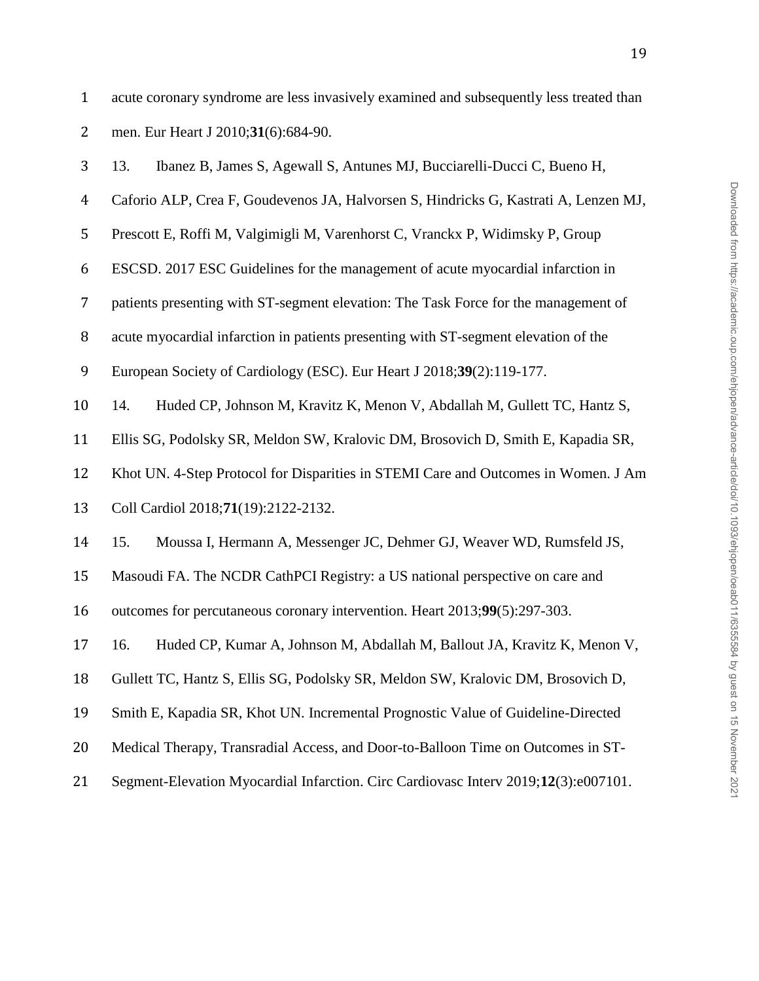acute coronary syndrome are less invasively examined and subsequently less treated than men. Eur Heart J 2010;**31**(6):684-90. 13. Ibanez B, James S, Agewall S, Antunes MJ, Bucciarelli-Ducci C, Bueno H,

- Caforio ALP, Crea F, Goudevenos JA, Halvorsen S, Hindricks G, Kastrati A, Lenzen MJ,
- Prescott E, Roffi M, Valgimigli M, Varenhorst C, Vranckx P, Widimsky P, Group
- ESCSD. 2017 ESC Guidelines for the management of acute myocardial infarction in
- patients presenting with ST-segment elevation: The Task Force for the management of
- acute myocardial infarction in patients presenting with ST-segment elevation of the
- European Society of Cardiology (ESC). Eur Heart J 2018;**39**(2):119-177.
- 14. Huded CP, Johnson M, Kravitz K, Menon V, Abdallah M, Gullett TC, Hantz S,
- Ellis SG, Podolsky SR, Meldon SW, Kralovic DM, Brosovich D, Smith E, Kapadia SR,
- Khot UN. 4-Step Protocol for Disparities in STEMI Care and Outcomes in Women. J Am
- Coll Cardiol 2018;**71**(19):2122-2132.
- 15. Moussa I, Hermann A, Messenger JC, Dehmer GJ, Weaver WD, Rumsfeld JS,
- Masoudi FA. The NCDR CathPCI Registry: a US national perspective on care and
- outcomes for percutaneous coronary intervention. Heart 2013;**99**(5):297-303.
- 16. Huded CP, Kumar A, Johnson M, Abdallah M, Ballout JA, Kravitz K, Menon V,
- Gullett TC, Hantz S, Ellis SG, Podolsky SR, Meldon SW, Kralovic DM, Brosovich D,
- Smith E, Kapadia SR, Khot UN. Incremental Prognostic Value of Guideline-Directed
- Medical Therapy, Transradial Access, and Door-to-Balloon Time on Outcomes in ST-
- Segment-Elevation Myocardial Infarction. Circ Cardiovasc Interv 2019;**12**(3):e007101.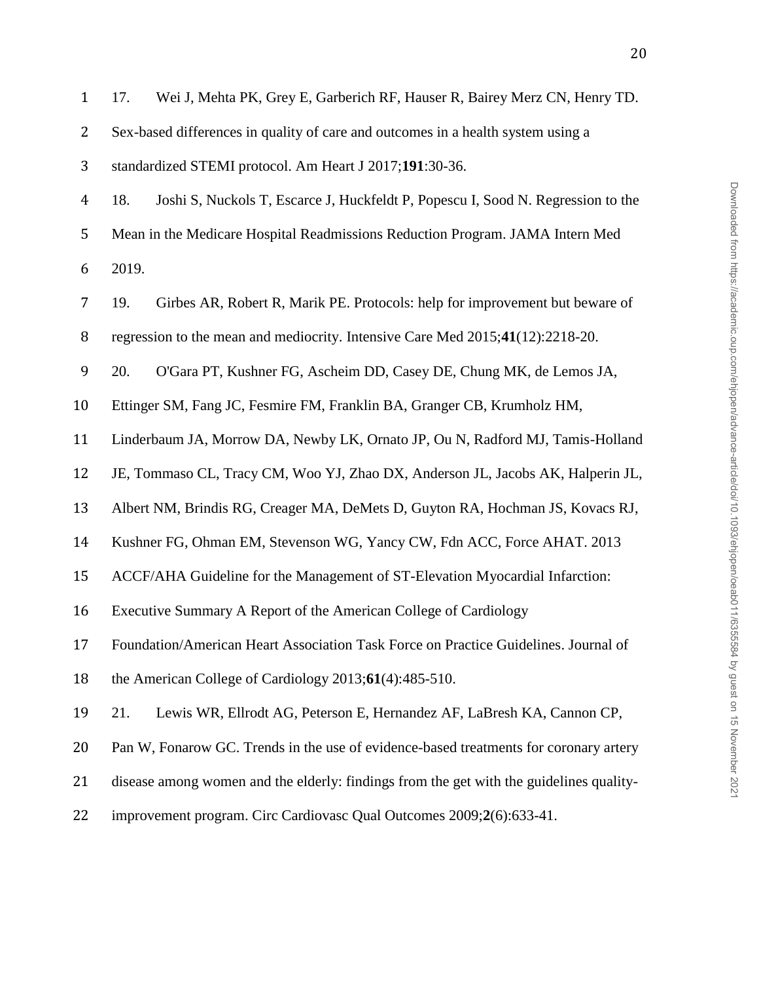| $\mathbf{1}$   | Wei J, Mehta PK, Grey E, Garberich RF, Hauser R, Bairey Merz CN, Henry TD.<br>17.       |
|----------------|-----------------------------------------------------------------------------------------|
| 2              | Sex-based differences in quality of care and outcomes in a health system using a        |
| 3              | standardized STEMI protocol. Am Heart J 2017;191:30-36.                                 |
| $\overline{4}$ | 18.<br>Joshi S, Nuckols T, Escarce J, Huckfeldt P, Popescu I, Sood N. Regression to the |
| 5              | Mean in the Medicare Hospital Readmissions Reduction Program. JAMA Intern Med           |
| 6              | 2019.                                                                                   |
| $\overline{7}$ | 19.<br>Girbes AR, Robert R, Marik PE. Protocols: help for improvement but beware of     |
| 8              | regression to the mean and mediocrity. Intensive Care Med 2015;41(12):2218-20.          |
| 9              | 20.<br>O'Gara PT, Kushner FG, Ascheim DD, Casey DE, Chung MK, de Lemos JA,              |
| 10             | Ettinger SM, Fang JC, Fesmire FM, Franklin BA, Granger CB, Krumholz HM,                 |
| 11             | Linderbaum JA, Morrow DA, Newby LK, Ornato JP, Ou N, Radford MJ, Tamis-Holland          |
| 12             | JE, Tommaso CL, Tracy CM, Woo YJ, Zhao DX, Anderson JL, Jacobs AK, Halperin JL,         |
| 13             | Albert NM, Brindis RG, Creager MA, DeMets D, Guyton RA, Hochman JS, Kovacs RJ,          |
| 14             | Kushner FG, Ohman EM, Stevenson WG, Yancy CW, Fdn ACC, Force AHAT. 2013                 |
| 15             | ACCF/AHA Guideline for the Management of ST-Elevation Myocardial Infarction:            |
| 16             | Executive Summary A Report of the American College of Cardiology                        |
| 17             | Foundation/American Heart Association Task Force on Practice Guidelines. Journal of     |
| 18             | the American College of Cardiology $2013;61(4):485-510$ .                               |
| 19             | Lewis WR, Ellrodt AG, Peterson E, Hernandez AF, LaBresh KA, Cannon CP,<br>21.           |
| 20             | Pan W, Fonarow GC. Trends in the use of evidence-based treatments for coronary artery   |
| 21             | disease among women and the elderly: findings from the get with the guidelines quality- |
|                |                                                                                         |

improvement program. Circ Cardiovasc Qual Outcomes 2009;**2**(6):633-41.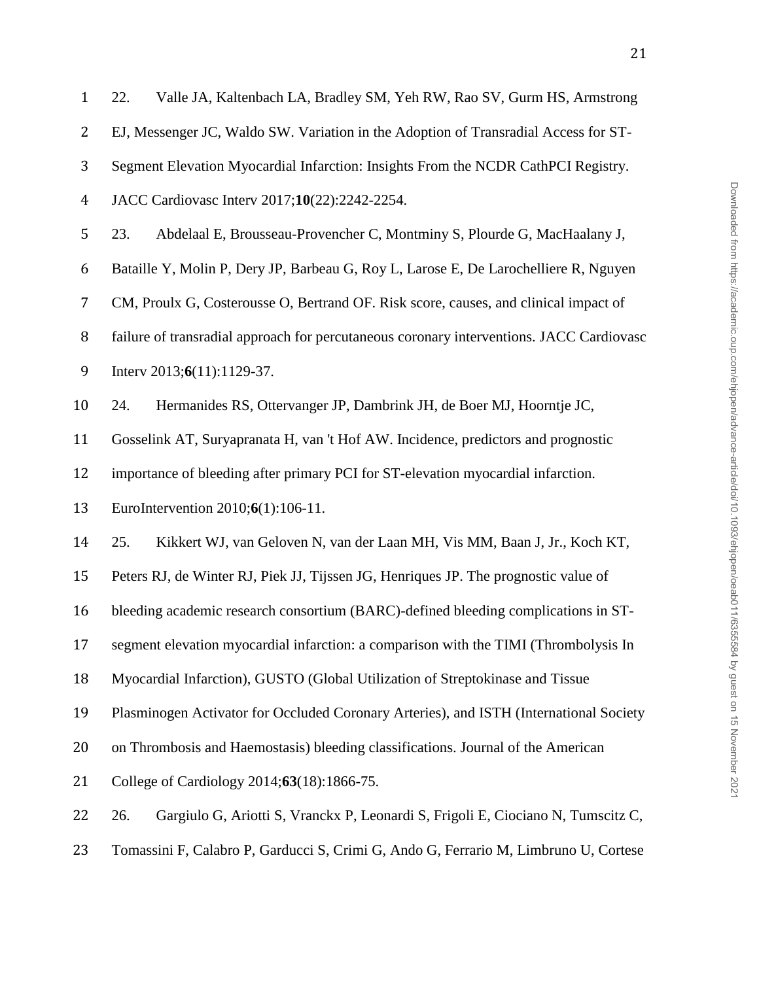| $\mathbf{1}$   | Valle JA, Kaltenbach LA, Bradley SM, Yeh RW, Rao SV, Gurm HS, Armstrong<br>22.           |
|----------------|------------------------------------------------------------------------------------------|
| $\overline{2}$ | EJ, Messenger JC, Waldo SW. Variation in the Adoption of Transradial Access for ST-      |
| 3              | Segment Elevation Myocardial Infarction: Insights From the NCDR CathPCI Registry.        |
| 4              | JACC Cardiovasc Interv 2017;10(22):2242-2254.                                            |
| 5              | 23.<br>Abdelaal E, Brousseau-Provencher C, Montminy S, Plourde G, MacHaalany J,          |
| 6              | Bataille Y, Molin P, Dery JP, Barbeau G, Roy L, Larose E, De Larochelliere R, Nguyen     |
| 7              | CM, Proulx G, Costerousse O, Bertrand OF. Risk score, causes, and clinical impact of     |
| 8              | failure of transradial approach for percutaneous coronary interventions. JACC Cardiovasc |
| 9              | Interv $2013;6(11):1129-37$ .                                                            |
| 10             | 24.<br>Hermanides RS, Ottervanger JP, Dambrink JH, de Boer MJ, Hoorntje JC,              |
| 11             | Gosselink AT, Suryapranata H, van 't Hof AW. Incidence, predictors and prognostic        |
| 12             | importance of bleeding after primary PCI for ST-elevation myocardial infarction.         |
| 13             | EuroIntervention 2010;6(1):106-11.                                                       |
| 14             | 25.<br>Kikkert WJ, van Geloven N, van der Laan MH, Vis MM, Baan J, Jr., Koch KT,         |
| 15             | Peters RJ, de Winter RJ, Piek JJ, Tijssen JG, Henriques JP. The prognostic value of      |
| 16             | bleeding academic research consortium (BARC)-defined bleeding complications in ST-       |
| 17             | segment elevation myocardial infarction: a comparison with the TIMI (Thrombolysis In     |
| 18             | Myocardial Infarction), GUSTO (Global Utilization of Streptokinase and Tissue            |
| 19             | Plasminogen Activator for Occluded Coronary Arteries), and ISTH (International Society   |
| 20             | on Thrombosis and Haemostasis) bleeding classifications. Journal of the American         |
| 21             | College of Cardiology 2014;63(18):1866-75.                                               |
| 22             | Gargiulo G, Ariotti S, Vranckx P, Leonardi S, Frigoli E, Ciociano N, Tumscitz C,<br>26.  |
| 23             | Tomassini F, Calabro P, Garducci S, Crimi G, Ando G, Ferrario M, Limbruno U, Cortese     |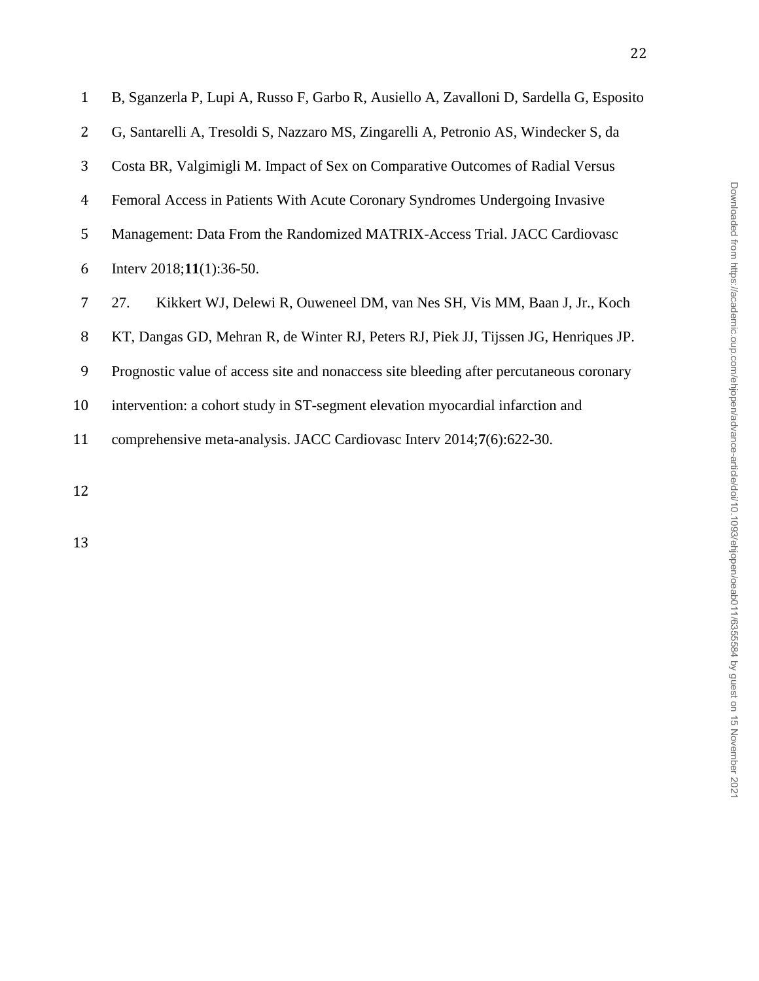| $\mathbf{1}$ | B, Sganzerla P, Lupi A, Russo F, Garbo R, Ausiello A, Zavalloni D, Sardella G, Esposito |  |  |  |  |
|--------------|-----------------------------------------------------------------------------------------|--|--|--|--|
| 2            | G, Santarelli A, Tresoldi S, Nazzaro MS, Zingarelli A, Petronio AS, Windecker S, da     |  |  |  |  |
| 3            | Costa BR, Valgimigli M. Impact of Sex on Comparative Outcomes of Radial Versus          |  |  |  |  |
| 4            | Femoral Access in Patients With Acute Coronary Syndromes Undergoing Invasive            |  |  |  |  |
| 5            | Management: Data From the Randomized MATRIX-Access Trial. JACC Cardiovasc               |  |  |  |  |
| 6            | Interv $2018;11(1):36-50$ .                                                             |  |  |  |  |
| 7            | Kikkert WJ, Delewi R, Ouweneel DM, van Nes SH, Vis MM, Baan J, Jr., Koch<br>27.         |  |  |  |  |
| 8            | KT, Dangas GD, Mehran R, de Winter RJ, Peters RJ, Piek JJ, Tijssen JG, Henriques JP.    |  |  |  |  |
| 9            | Prognostic value of access site and nonaccess site bleeding after percutaneous coronary |  |  |  |  |
| 10           | intervention: a cohort study in ST-segment elevation myocardial infarction and          |  |  |  |  |
| 11           | comprehensive meta-analysis. JACC Cardiovasc Interv 2014;7(6):622-30.                   |  |  |  |  |
|              |                                                                                         |  |  |  |  |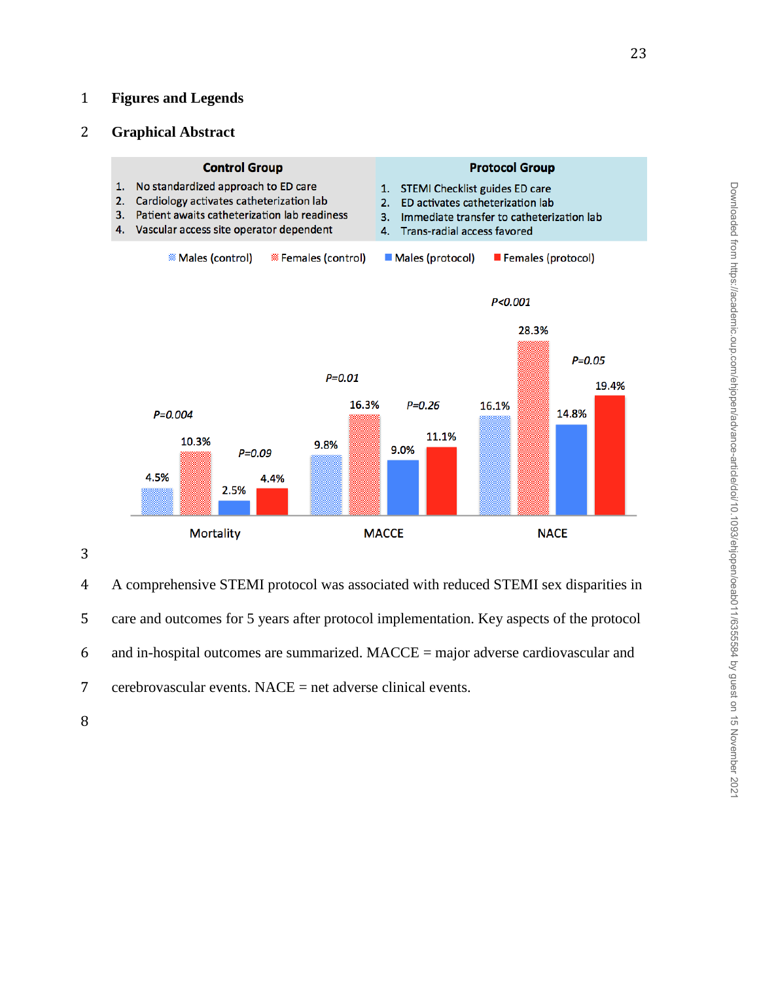## **Figures and Legends**

## **Graphical Abstract**



 A comprehensive STEMI protocol was associated with reduced STEMI sex disparities in care and outcomes for 5 years after protocol implementation. Key aspects of the protocol and in-hospital outcomes are summarized. MACCE = major adverse cardiovascular and cerebrovascular events. NACE = net adverse clinical events.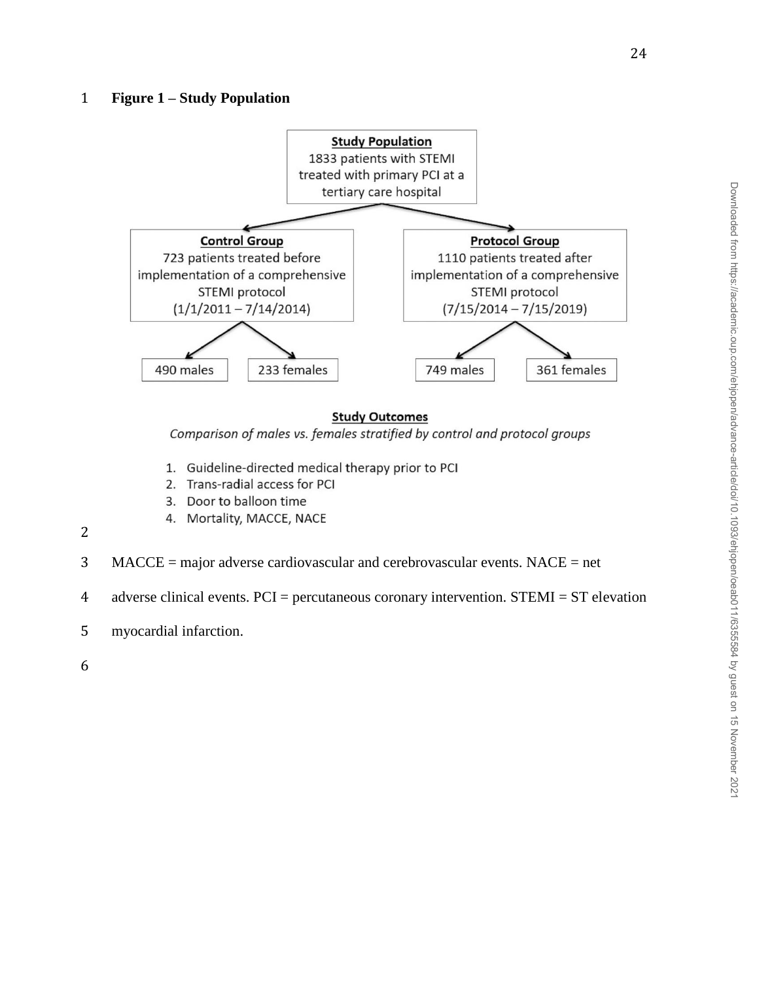

## **Study Outcomes**

Comparison of males vs. females stratified by control and protocol groups

- 1. Guideline-directed medical therapy prior to PCI
- 2. Trans-radial access for PCI
- 3. Door to balloon time
- 4. Mortality, MACCE, NACE
- 2
- 3 MACCE = major adverse cardiovascular and cerebrovascular events. NACE = net

4 adverse clinical events. PCI = percutaneous coronary intervention. STEMI = ST elevation

- 5 myocardial infarction.
- 6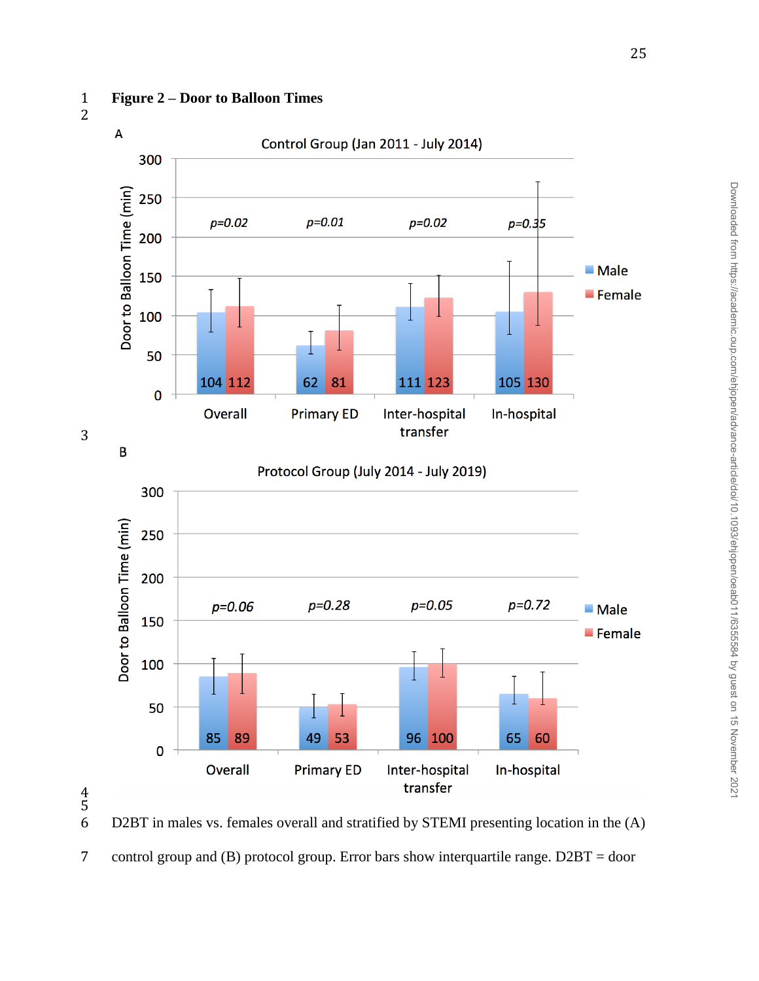### **Figure 2 – Door to Balloon Times**



D2BT in males vs. females overall and stratified by STEMI presenting location in the (A)

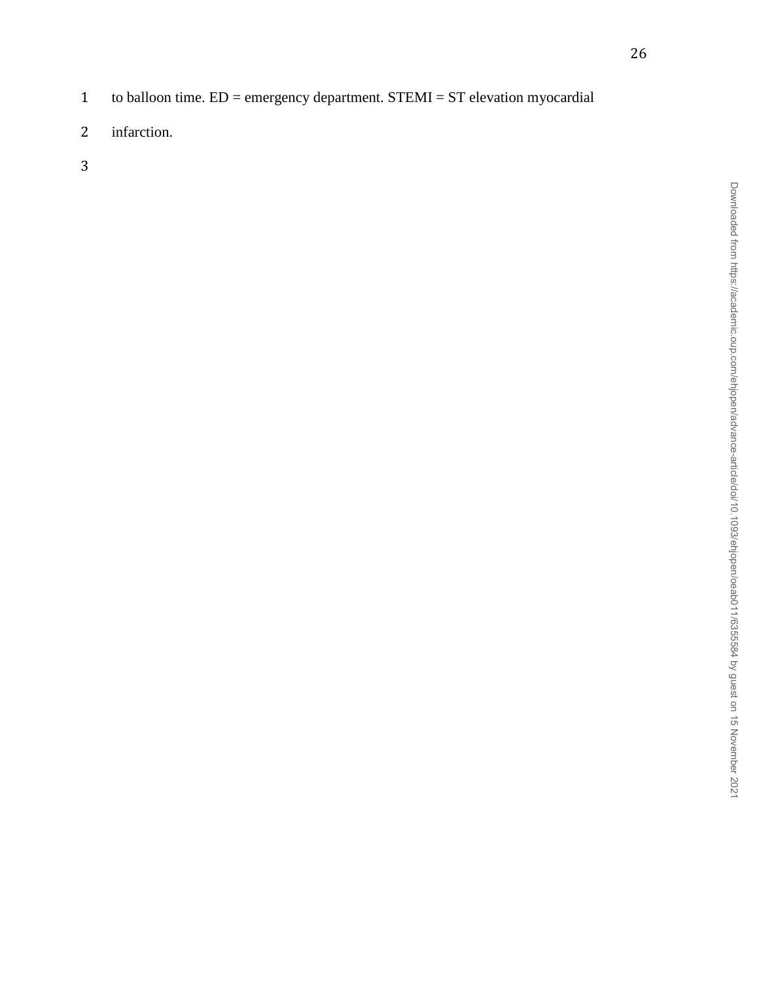- to balloon time. ED = emergency department. STEMI = ST elevation myocardial
- infarction.
-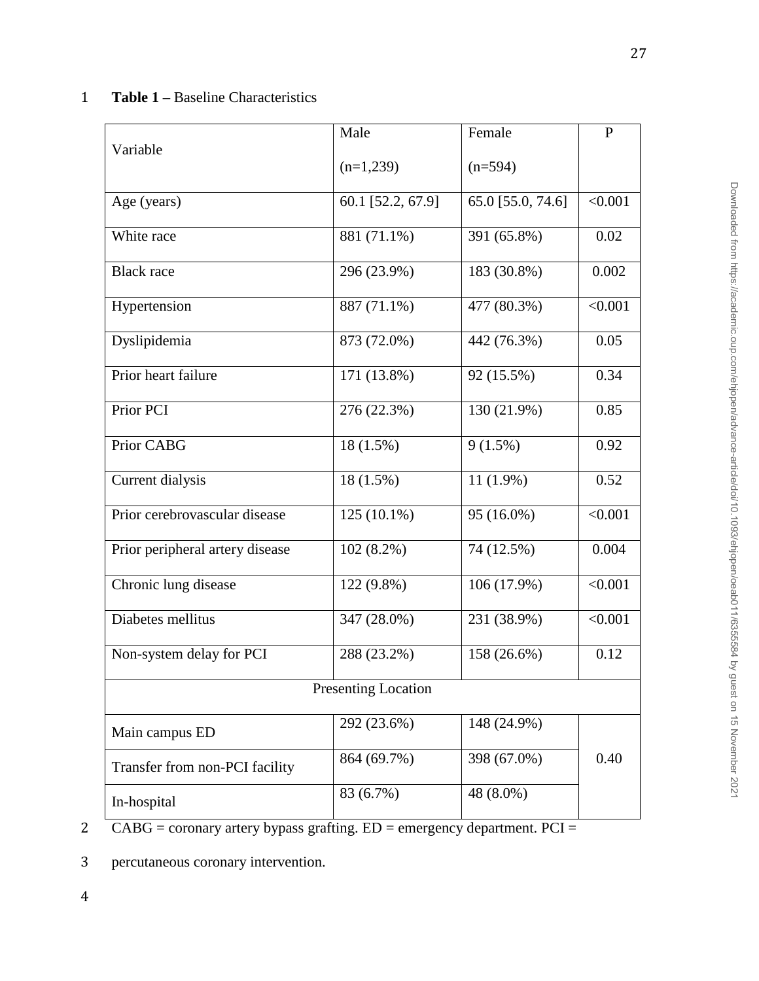## 1 **Table 1 –** Baseline Characteristics

|                                 | Male              | Female            | $\mathbf{P}$ |  |  |  |
|---------------------------------|-------------------|-------------------|--------------|--|--|--|
| Variable                        | $(n=1,239)$       | $(n=594)$         |              |  |  |  |
| Age (years)                     | 60.1 [52.2, 67.9] | 65.0 [55.0, 74.6] | < 0.001      |  |  |  |
| White race                      | 881 (71.1%)       | 391 (65.8%)       | 0.02         |  |  |  |
| <b>Black</b> race               | 296 (23.9%)       | 183 (30.8%)       | 0.002        |  |  |  |
| Hypertension                    | 887 (71.1%)       | 477 (80.3%)       | < 0.001      |  |  |  |
| Dyslipidemia                    | 873 (72.0%)       | 442 (76.3%)       | 0.05         |  |  |  |
| Prior heart failure             | 171 (13.8%)       | 92 (15.5%)        | 0.34         |  |  |  |
| Prior PCI                       | 276 (22.3%)       | 130 (21.9%)       | 0.85         |  |  |  |
| Prior CABG                      | 18 (1.5%)         | $9(1.5\%)$        | 0.92         |  |  |  |
| Current dialysis                | $18(1.5\%)$       | $11(1.9\%)$       | 0.52         |  |  |  |
| Prior cerebrovascular disease   | $125(10.1\%)$     | 95 (16.0%)        | < 0.001      |  |  |  |
| Prior peripheral artery disease | $102(8.2\%)$      | 74 (12.5%)        | 0.004        |  |  |  |
| Chronic lung disease            | 122 (9.8%)        | 106 (17.9%)       | < 0.001      |  |  |  |
| Diabetes mellitus               | 347 (28.0%)       | 231 (38.9%)       | < 0.001      |  |  |  |
| Non-system delay for PCI        | 288 (23.2%)       | 158 (26.6%)       | 0.12         |  |  |  |
| <b>Presenting Location</b>      |                   |                   |              |  |  |  |
| Main campus ED                  | 292 (23.6%)       | 148 (24.9%)       |              |  |  |  |
| Transfer from non-PCI facility  | 864 (69.7%)       | 398 (67.0%)       | 0.40         |  |  |  |
| In-hospital                     | 83 (6.7%)         | 48 (8.0%)         |              |  |  |  |

4

2 CABG = coronary artery bypass grafting. ED = emergency department. PCI =

3 percutaneous coronary intervention.